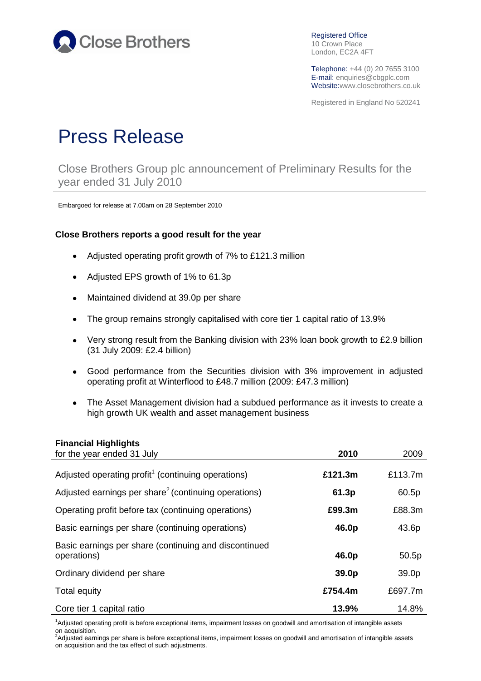

Registered Office 10 Crown Place London, EC2A 4FT

Telephone: +44 (0) 20 7655 3100 E-mail: enquiries@cbgplc.com Website:www.closebrothers.co.uk

Registered in England No 520241

# Press Release

Close Brothers Group plc announcement of Preliminary Results for the year ended 31 July 2010

Embargoed for release at 7.00am on 28 September 2010

#### **Close Brothers reports a good result for the year**

- Adjusted operating profit growth of 7% to £121.3 million  $\bullet$
- Adjusted EPS growth of 1% to 61.3p  $\bullet$
- Maintained dividend at 39.0p per share  $\bullet$
- The group remains strongly capitalised with core tier 1 capital ratio of 13.9%  $\bullet$
- Very strong result from the Banking division with 23% loan book growth to £2.9 billion  $\bullet$ (31 July 2009: £2.4 billion)
- Good performance from the Securities division with 3% improvement in adjusted  $\bullet$ operating profit at Winterflood to £48.7 million (2009: £47.3 million)
- The Asset Management division had a subdued performance as it invests to create a  $\bullet$ high growth UK wealth and asset management business

#### **Financial Highlights**

| for the year ended 31 July                                           | 2010    | 2009              |
|----------------------------------------------------------------------|---------|-------------------|
| Adjusted operating profit <sup>1</sup> (continuing operations)       | £121.3m | £113.7m           |
| Adjusted earnings per share <sup>2</sup> (continuing operations)     | 61.3p   | 60.5p             |
| Operating profit before tax (continuing operations)                  | £99.3m  | £88.3m            |
| Basic earnings per share (continuing operations)                     | 46.0p   | 43.6p             |
| Basic earnings per share (continuing and discontinued<br>operations) | 46.0p   | 50.5p             |
| Ordinary dividend per share                                          | 39.0p   | 39.0 <sub>p</sub> |
| Total equity                                                         | £754.4m | £697.7m           |
| Core tier 1 capital ratio                                            | 13.9%   | 14.8%             |

<sup>1</sup>Adjusted operating profit is before exceptional items, impairment losses on goodwill and amortisation of intangible assets

on acquisition.<br><sup>2</sup>Adjusted earnings per share is before exceptional items, impairment losses on goodwill and amortisation of intangible assets on acquisition and the tax effect of such adjustments.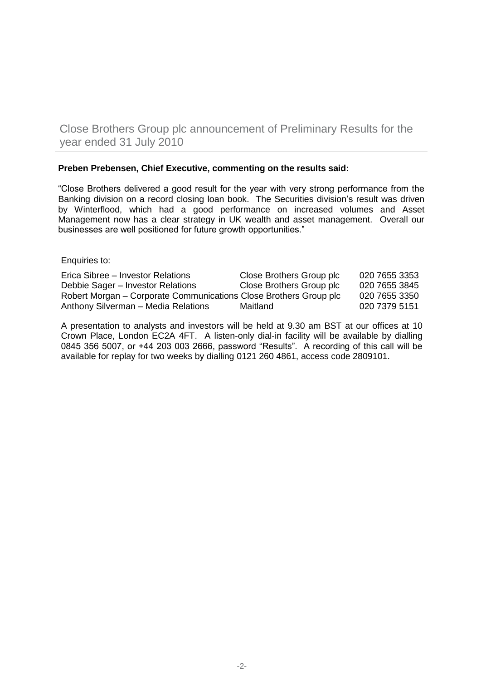Close Brothers Group plc announcement of Preliminary Results for the year ended 31 July 2010

#### **Preben Prebensen, Chief Executive, commenting on the results said:**

"Close Brothers delivered a good result for the year with very strong performance from the Banking division on a record closing loan book. The Securities division's result was driven by Winterflood, which had a good performance on increased volumes and Asset Management now has a clear strategy in UK wealth and asset management. Overall our businesses are well positioned for future growth opportunities."

Enquiries to:

| Erica Sibree – Investor Relations                                 | Close Brothers Group plc | 020 7655 3353 |
|-------------------------------------------------------------------|--------------------------|---------------|
| Debbie Sager - Investor Relations                                 | Close Brothers Group plc | 020 7655 3845 |
| Robert Morgan – Corporate Communications Close Brothers Group plc |                          | 020 7655 3350 |
| Anthony Silverman - Media Relations                               | Maitland                 | 020 7379 5151 |

A presentation to analysts and investors will be held at 9.30 am BST at our offices at 10 Crown Place, London EC2A 4FT. A listen-only dial-in facility will be available by dialling 0845 356 5007, or +44 203 003 2666, password "Results". A recording of this call will be available for replay for two weeks by dialling 0121 260 4861, access code 2809101.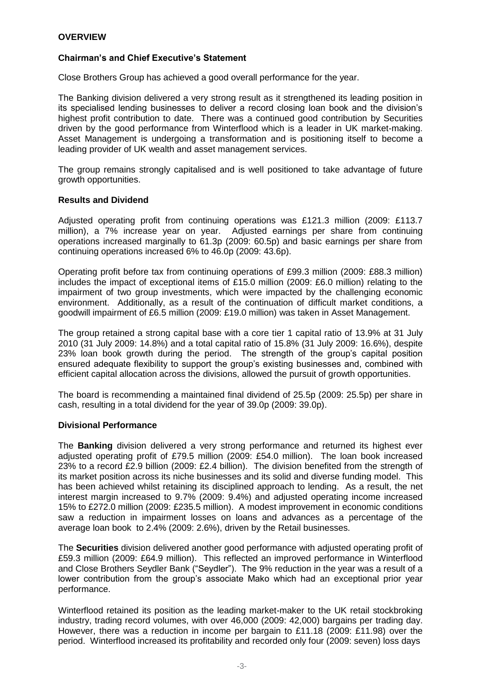# **OVERVIEW**

#### **Chairman's and Chief Executive's Statement**

Close Brothers Group has achieved a good overall performance for the year.

The Banking division delivered a very strong result as it strengthened its leading position in its specialised lending businesses to deliver a record closing loan book and the division's highest profit contribution to date. There was a continued good contribution by Securities driven by the good performance from Winterflood which is a leader in UK market-making. Asset Management is undergoing a transformation and is positioning itself to become a leading provider of UK wealth and asset management services.

The group remains strongly capitalised and is well positioned to take advantage of future growth opportunities.

#### **Results and Dividend**

Adjusted operating profit from continuing operations was £121.3 million (2009: £113.7 million), a 7% increase year on year. Adjusted earnings per share from continuing operations increased marginally to 61.3p (2009: 60.5p) and basic earnings per share from continuing operations increased 6% to 46.0p (2009: 43.6p).

Operating profit before tax from continuing operations of £99.3 million (2009: £88.3 million) includes the impact of exceptional items of £15.0 million (2009: £6.0 million) relating to the impairment of two group investments, which were impacted by the challenging economic environment. Additionally, as a result of the continuation of difficult market conditions, a goodwill impairment of £6.5 million (2009: £19.0 million) was taken in Asset Management.

The group retained a strong capital base with a core tier 1 capital ratio of 13.9% at 31 July 2010 (31 July 2009: 14.8%) and a total capital ratio of 15.8% (31 July 2009: 16.6%), despite 23% loan book growth during the period. The strength of the group's capital position ensured adequate flexibility to support the group's existing businesses and, combined with efficient capital allocation across the divisions, allowed the pursuit of growth opportunities.

The board is recommending a maintained final dividend of 25.5p (2009: 25.5p) per share in cash, resulting in a total dividend for the year of 39.0p (2009: 39.0p).

# **Divisional Performance**

The **Banking** division delivered a very strong performance and returned its highest ever adjusted operating profit of £79.5 million (2009: £54.0 million). The loan book increased 23% to a record £2.9 billion (2009: £2.4 billion). The division benefited from the strength of its market position across its niche businesses and its solid and diverse funding model. This has been achieved whilst retaining its disciplined approach to lending. As a result, the net interest margin increased to 9.7% (2009: 9.4%) and adjusted operating income increased 15% to £272.0 million (2009: £235.5 million). A modest improvement in economic conditions saw a reduction in impairment losses on loans and advances as a percentage of the average loan book to 2.4% (2009: 2.6%), driven by the Retail businesses.

The **Securities** division delivered another good performance with adjusted operating profit of £59.3 million (2009: £64.9 million). This reflected an improved performance in Winterflood and Close Brothers Seydler Bank ("Seydler"). The 9% reduction in the year was a result of a lower contribution from the group's associate Mako which had an exceptional prior year performance.

Winterflood retained its position as the leading market-maker to the UK retail stockbroking industry, trading record volumes, with over 46,000 (2009: 42,000) bargains per trading day. However, there was a reduction in income per bargain to £11.18 (2009: £11.98) over the period. Winterflood increased its profitability and recorded only four (2009: seven) loss days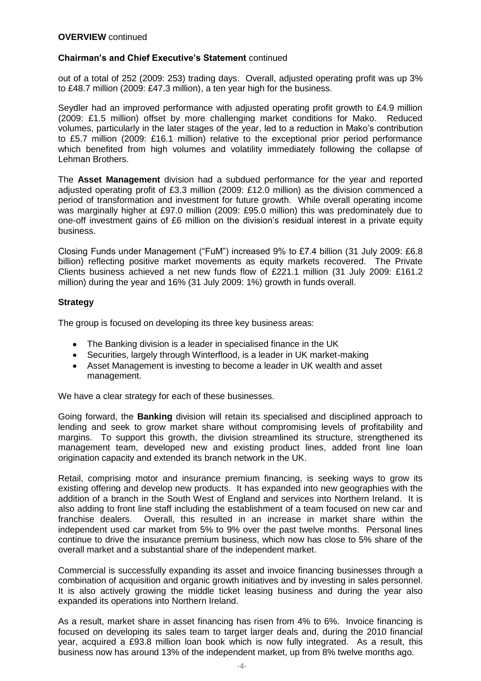# **Chairman's and Chief Executive's Statement** continued

out of a total of 252 (2009: 253) trading days. Overall, adjusted operating profit was up 3% to £48.7 million (2009: £47.3 million), a ten year high for the business.

Seydler had an improved performance with adjusted operating profit growth to £4.9 million (2009: £1.5 million) offset by more challenging market conditions for Mako. Reduced volumes, particularly in the later stages of the year, led to a reduction in Mako's contribution to £5.7 million (2009: £16.1 million) relative to the exceptional prior period performance which benefited from high volumes and volatility immediately following the collapse of Lehman Brothers.

The **Asset Management** division had a subdued performance for the year and reported adjusted operating profit of £3.3 million (2009: £12.0 million) as the division commenced a period of transformation and investment for future growth. While overall operating income was marginally higher at £97.0 million (2009: £95.0 million) this was predominately due to one-off investment gains of £6 million on the division's residual interest in a private equity business.

Closing Funds under Management ("FuM") increased 9% to £7.4 billion (31 July 2009: £6.8 billion) reflecting positive market movements as equity markets recovered. The Private Clients business achieved a net new funds flow of £221.1 million (31 July 2009: £161.2 million) during the year and 16% (31 July 2009: 1%) growth in funds overall.

#### **Strategy**

The group is focused on developing its three key business areas:

- The Banking division is a leader in specialised finance in the UK
- Securities, largely through Winterflood, is a leader in UK market-making
- $\bullet$ Asset Management is investing to become a leader in UK wealth and asset management.

We have a clear strategy for each of these businesses.

Going forward, the **Banking** division will retain its specialised and disciplined approach to lending and seek to grow market share without compromising levels of profitability and margins. To support this growth, the division streamlined its structure, strengthened its management team, developed new and existing product lines, added front line loan origination capacity and extended its branch network in the UK.

Retail, comprising motor and insurance premium financing, is seeking ways to grow its existing offering and develop new products. It has expanded into new geographies with the addition of a branch in the South West of England and services into Northern Ireland. It is also adding to front line staff including the establishment of a team focused on new car and franchise dealers. Overall, this resulted in an increase in market share within the independent used car market from 5% to 9% over the past twelve months. Personal lines continue to drive the insurance premium business, which now has close to 5% share of the overall market and a substantial share of the independent market.

Commercial is successfully expanding its asset and invoice financing businesses through a combination of acquisition and organic growth initiatives and by investing in sales personnel. It is also actively growing the middle ticket leasing business and during the year also expanded its operations into Northern Ireland.

As a result, market share in asset financing has risen from 4% to 6%. Invoice financing is focused on developing its sales team to target larger deals and, during the 2010 financial year, acquired a £93.8 million loan book which is now fully integrated. As a result, this business now has around 13% of the independent market, up from 8% twelve months ago.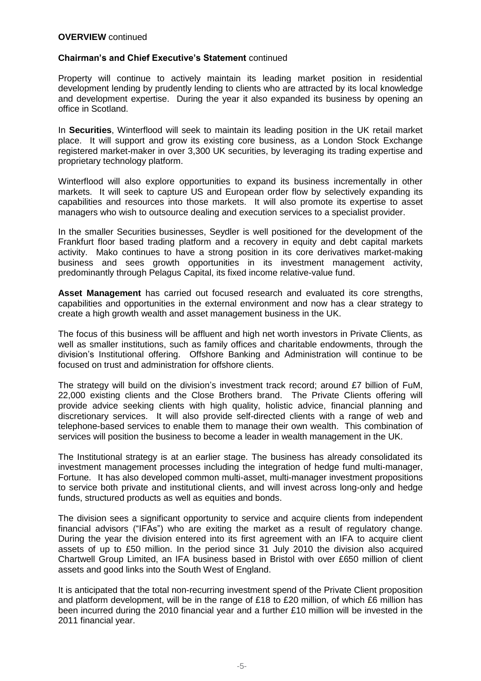#### **Chairman's and Chief Executive's Statement** continued

Property will continue to actively maintain its leading market position in residential development lending by prudently lending to clients who are attracted by its local knowledge and development expertise. During the year it also expanded its business by opening an office in Scotland.

In **Securities**, Winterflood will seek to maintain its leading position in the UK retail market place. It will support and grow its existing core business, as a London Stock Exchange registered market-maker in over 3,300 UK securities, by leveraging its trading expertise and proprietary technology platform.

Winterflood will also explore opportunities to expand its business incrementally in other markets. It will seek to capture US and European order flow by selectively expanding its capabilities and resources into those markets. It will also promote its expertise to asset managers who wish to outsource dealing and execution services to a specialist provider.

In the smaller Securities businesses, Seydler is well positioned for the development of the Frankfurt floor based trading platform and a recovery in equity and debt capital markets activity. Mako continues to have a strong position in its core derivatives market-making business and sees growth opportunities in its investment management activity, predominantly through Pelagus Capital, its fixed income relative-value fund.

**Asset Management** has carried out focused research and evaluated its core strengths, capabilities and opportunities in the external environment and now has a clear strategy to create a high growth wealth and asset management business in the UK.

The focus of this business will be affluent and high net worth investors in Private Clients, as well as smaller institutions, such as family offices and charitable endowments, through the division's Institutional offering. Offshore Banking and Administration will continue to be focused on trust and administration for offshore clients.

The strategy will build on the division's investment track record; around £7 billion of FuM, 22,000 existing clients and the Close Brothers brand. The Private Clients offering will provide advice seeking clients with high quality, holistic advice, financial planning and discretionary services. It will also provide self-directed clients with a range of web and telephone-based services to enable them to manage their own wealth. This combination of services will position the business to become a leader in wealth management in the UK.

The Institutional strategy is at an earlier stage. The business has already consolidated its investment management processes including the integration of hedge fund multi-manager, Fortune. It has also developed common multi-asset, multi-manager investment propositions to service both private and institutional clients, and will invest across long-only and hedge funds, structured products as well as equities and bonds.

The division sees a significant opportunity to service and acquire clients from independent financial advisors ("IFAs") who are exiting the market as a result of regulatory change. During the year the division entered into its first agreement with an IFA to acquire client assets of up to £50 million. In the period since 31 July 2010 the division also acquired Chartwell Group Limited, an IFA business based in Bristol with over £650 million of client assets and good links into the South West of England.

It is anticipated that the total non-recurring investment spend of the Private Client proposition and platform development, will be in the range of £18 to £20 million, of which £6 million has been incurred during the 2010 financial year and a further £10 million will be invested in the 2011 financial year.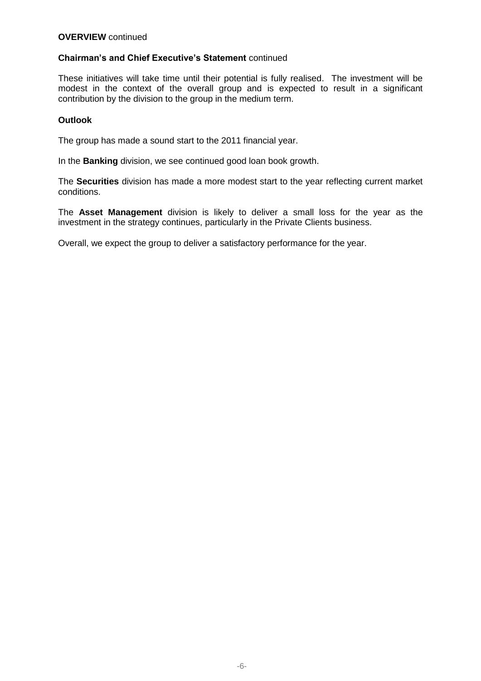# **Chairman's and Chief Executive's Statement** continued

These initiatives will take time until their potential is fully realised. The investment will be modest in the context of the overall group and is expected to result in a significant contribution by the division to the group in the medium term.

### **Outlook**

The group has made a sound start to the 2011 financial year.

In the **Banking** division, we see continued good loan book growth.

The **Securities** division has made a more modest start to the year reflecting current market conditions.

The **Asset Management** division is likely to deliver a small loss for the year as the investment in the strategy continues, particularly in the Private Clients business.

Overall, we expect the group to deliver a satisfactory performance for the year.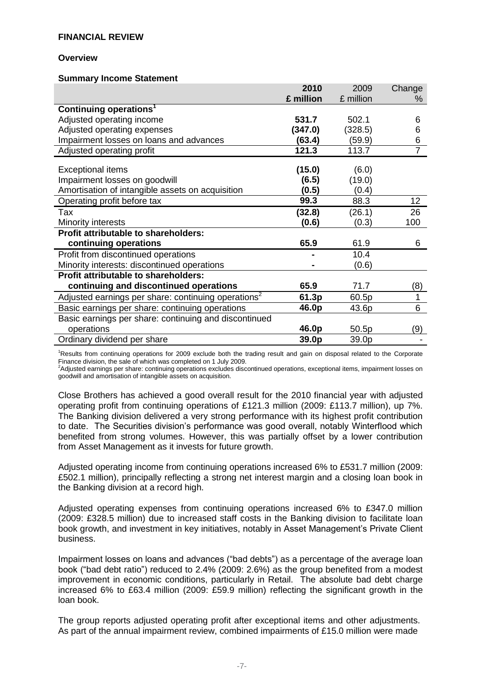#### **Overview**

#### **Summary Income Statement**

|                                                                 | 2010      | 2009      | Change         |
|-----------------------------------------------------------------|-----------|-----------|----------------|
|                                                                 | £ million | £ million | %              |
| Continuing operations <sup>1</sup>                              |           |           |                |
| Adjusted operating income                                       | 531.7     | 502.1     | 6              |
| Adjusted operating expenses                                     | (347.0)   | (328.5)   | 6              |
| Impairment losses on loans and advances                         | (63.4)    | (59.9)    | 6              |
| Adjusted operating profit                                       | 121.3     | 113.7     | $\overline{7}$ |
|                                                                 |           |           |                |
| <b>Exceptional items</b>                                        | (15.0)    | (6.0)     |                |
| Impairment losses on goodwill                                   | (6.5)     | (19.0)    |                |
| Amortisation of intangible assets on acquisition                | (0.5)     | (0.4)     |                |
| Operating profit before tax                                     | 99.3      | 88.3      | 12             |
| Tax                                                             | (32.8)    | (26.1)    | 26             |
| Minority interests                                              | (0.6)     | (0.3)     | 100            |
| Profit attributable to shareholders:                            |           |           |                |
| continuing operations                                           | 65.9      | 61.9      | 6              |
| Profit from discontinued operations                             |           | 10.4      |                |
| Minority interests: discontinued operations                     |           | (0.6)     |                |
| <b>Profit attributable to shareholders:</b>                     |           |           |                |
| continuing and discontinued operations                          | 65.9      | 71.7      | (8)            |
| Adjusted earnings per share: continuing operations <sup>2</sup> | 61.3p     | 60.5p     | 1              |
| Basic earnings per share: continuing operations                 | 46.0p     | 43.6p     | 6              |
| Basic earnings per share: continuing and discontinued           |           |           |                |
| operations                                                      | 46.0p     | 50.5p     | (9)            |
| Ordinary dividend per share                                     | 39.0p     | 39.0p     |                |

<sup>1</sup>Results from continuing operations for 2009 exclude both the trading result and gain on disposal related to the Corporate Finance division, the sale of which was completed on 1 July 2009.<br><sup>2</sup>Adjusted earnings per share: continuing operations excludes discontinued operations, exceptional items, impairment losses on

goodwill and amortisation of intangible assets on acquisition.

Close Brothers has achieved a good overall result for the 2010 financial year with adjusted operating profit from continuing operations of £121.3 million (2009: £113.7 million), up 7%. The Banking division delivered a very strong performance with its highest profit contribution to date. The Securities division's performance was good overall, notably Winterflood which benefited from strong volumes. However, this was partially offset by a lower contribution from Asset Management as it invests for future growth.

Adjusted operating income from continuing operations increased 6% to £531.7 million (2009: £502.1 million), principally reflecting a strong net interest margin and a closing loan book in the Banking division at a record high.

Adjusted operating expenses from continuing operations increased 6% to £347.0 million (2009: £328.5 million) due to increased staff costs in the Banking division to facilitate loan book growth, and investment in key initiatives, notably in Asset Management's Private Client business.

Impairment losses on loans and advances ("bad debts") as a percentage of the average loan book ("bad debt ratio") reduced to 2.4% (2009: 2.6%) as the group benefited from a modest improvement in economic conditions, particularly in Retail. The absolute bad debt charge increased 6% to £63.4 million (2009: £59.9 million) reflecting the significant growth in the loan book.

The group reports adjusted operating profit after exceptional items and other adjustments. As part of the annual impairment review, combined impairments of £15.0 million were made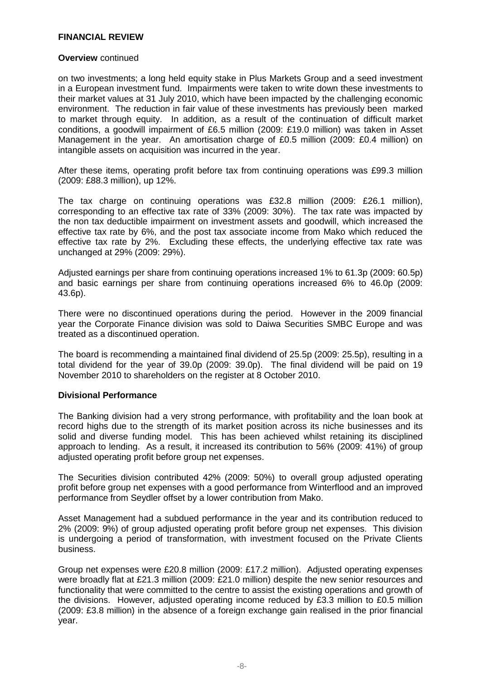#### **Overview** continued

on two investments; a long held equity stake in Plus Markets Group and a seed investment in a European investment fund. Impairments were taken to write down these investments to their market values at 31 July 2010, which have been impacted by the challenging economic environment. The reduction in fair value of these investments has previously been marked to market through equity. In addition, as a result of the continuation of difficult market conditions, a goodwill impairment of £6.5 million (2009: £19.0 million) was taken in Asset Management in the year. An amortisation charge of £0.5 million (2009: £0.4 million) on intangible assets on acquisition was incurred in the year.

After these items, operating profit before tax from continuing operations was £99.3 million (2009: £88.3 million), up 12%.

The tax charge on continuing operations was £32.8 million (2009: £26.1 million), corresponding to an effective tax rate of 33% (2009: 30%). The tax rate was impacted by the non tax deductible impairment on investment assets and goodwill, which increased the effective tax rate by 6%, and the post tax associate income from Mako which reduced the effective tax rate by 2%. Excluding these effects, the underlying effective tax rate was unchanged at 29% (2009: 29%).

Adjusted earnings per share from continuing operations increased 1% to 61.3p (2009: 60.5p) and basic earnings per share from continuing operations increased 6% to 46.0p (2009: 43.6p).

There were no discontinued operations during the period. However in the 2009 financial year the Corporate Finance division was sold to Daiwa Securities SMBC Europe and was treated as a discontinued operation.

The board is recommending a maintained final dividend of 25.5p (2009: 25.5p), resulting in a total dividend for the year of 39.0p (2009: 39.0p). The final dividend will be paid on 19 November 2010 to shareholders on the register at 8 October 2010.

#### **Divisional Performance**

The Banking division had a very strong performance, with profitability and the loan book at record highs due to the strength of its market position across its niche businesses and its solid and diverse funding model. This has been achieved whilst retaining its disciplined approach to lending. As a result, it increased its contribution to 56% (2009: 41%) of group adjusted operating profit before group net expenses.

The Securities division contributed 42% (2009: 50%) to overall group adjusted operating profit before group net expenses with a good performance from Winterflood and an improved performance from Seydler offset by a lower contribution from Mako.

Asset Management had a subdued performance in the year and its contribution reduced to 2% (2009: 9%) of group adjusted operating profit before group net expenses. This division is undergoing a period of transformation, with investment focused on the Private Clients business.

Group net expenses were £20.8 million (2009: £17.2 million). Adjusted operating expenses were broadly flat at £21.3 million (2009: £21.0 million) despite the new senior resources and functionality that were committed to the centre to assist the existing operations and growth of the divisions. However, adjusted operating income reduced by £3.3 million to £0.5 million (2009: £3.8 million) in the absence of a foreign exchange gain realised in the prior financial year.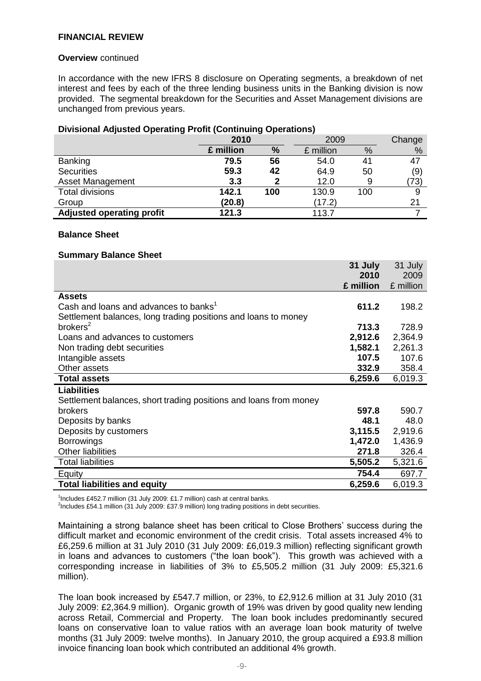#### **Overview** continued

In accordance with the new IFRS 8 disclosure on Operating segments, a breakdown of net interest and fees by each of the three lending business units in the Banking division is now provided. The segmental breakdown for the Securities and Asset Management divisions are unchanged from previous years.

# **Divisional Adjusted Operating Profit (Continuing Operations)**

|                                  | 2010<br>2009 |     |                |     | Change |
|----------------------------------|--------------|-----|----------------|-----|--------|
|                                  | £ million    | %   | £ million<br>% |     | %      |
| <b>Banking</b>                   | 79.5         | 56  | 54.0           | 41  | 47     |
| <b>Securities</b>                | 59.3         | 42  | 64.9           | 50  | (9)    |
| Asset Management                 | 3.3          | 2   | 12.0           |     | (73)   |
| <b>Total divisions</b>           | 142.1        | 100 | 130.9          | 100 | 9      |
| Group                            | (20.8)       |     | (17.2)         |     | 21     |
| <b>Adjusted operating profit</b> | 121.3        |     | 113.7          |     |        |

#### **Balance Sheet**

#### **Summary Balance Sheet**

|                                                                   | 31 July   | 31 July   |
|-------------------------------------------------------------------|-----------|-----------|
|                                                                   | 2010      | 2009      |
|                                                                   | £ million | £ million |
| <b>Assets</b>                                                     |           |           |
| Cash and loans and advances to banks <sup>1</sup>                 | 611.2     | 198.2     |
| Settlement balances, long trading positions and loans to money    |           |           |
| brokers <sup>2</sup>                                              | 713.3     | 728.9     |
| Loans and advances to customers                                   | 2,912.6   | 2,364.9   |
| Non trading debt securities                                       | 1,582.1   | 2,261.3   |
| Intangible assets                                                 | 107.5     | 107.6     |
| Other assets                                                      | 332.9     | 358.4     |
| <b>Total assets</b>                                               | 6,259.6   | 6,019.3   |
| <b>Liabilities</b>                                                |           |           |
| Settlement balances, short trading positions and loans from money |           |           |
| <b>brokers</b>                                                    | 597.8     | 590.7     |
| Deposits by banks                                                 | 48.1      | 48.0      |
| Deposits by customers                                             | 3,115.5   | 2,919.6   |
| <b>Borrowings</b>                                                 | 1,472.0   | 1,436.9   |
| <b>Other liabilities</b>                                          | 271.8     | 326.4     |
| <b>Total liabilities</b>                                          | 5,505.2   | 5,321.6   |
| Equity                                                            | 754.4     | 697.7     |
| <b>Total liabilities and equity</b>                               | 6,259.6   | 6,019.3   |

<sup>1</sup>Includes £452.7 million (31 July 2009: £1.7 million) cash at central banks.

<sup>2</sup>Includes £54.1 million (31 July 2009: £37.9 million) long trading positions in debt securities.

Maintaining a strong balance sheet has been critical to Close Brothers' success during the difficult market and economic environment of the credit crisis. Total assets increased 4% to £6,259.6 million at 31 July 2010 (31 July 2009: £6,019.3 million) reflecting significant growth in loans and advances to customers ("the loan book"). This growth was achieved with a corresponding increase in liabilities of 3% to £5,505.2 million (31 July 2009: £5,321.6 million).

The loan book increased by £547.7 million, or 23%, to £2,912.6 million at 31 July 2010 (31 July 2009: £2,364.9 million). Organic growth of 19% was driven by good quality new lending across Retail, Commercial and Property. The loan book includes predominantly secured loans on conservative loan to value ratios with an average loan book maturity of twelve months (31 July 2009: twelve months). In January 2010, the group acquired a £93.8 million invoice financing loan book which contributed an additional 4% growth.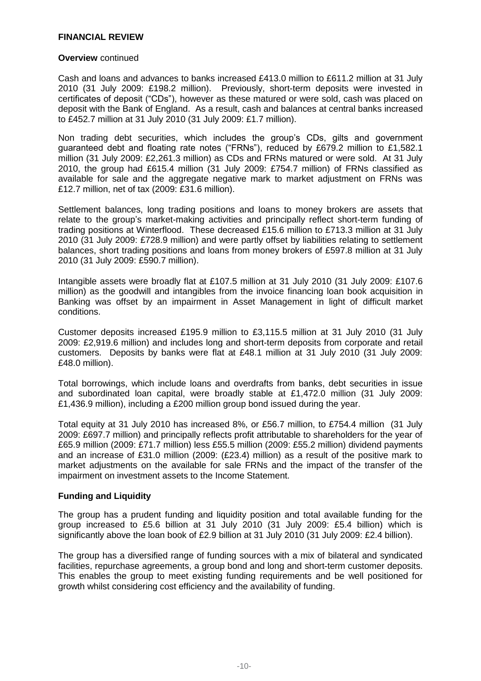#### **Overview** continued

Cash and loans and advances to banks increased £413.0 million to £611.2 million at 31 July 2010 (31 July 2009: £198.2 million).Previously, short-term deposits were invested in certificates of deposit ("CDs"), however as these matured or were sold, cash was placed on deposit with the Bank of England. As a result, cash and balances at central banks increased to £452.7 million at 31 July 2010 (31 July 2009: £1.7 million).

Non trading debt securities, which includes the group's CDs, gilts and government guaranteed debt and floating rate notes ("FRNs"), reduced by £679.2 million to £1,582.1 million (31 July 2009: £2,261.3 million) as CDs and FRNs matured or were sold. At 31 July 2010, the group had £615.4 million (31 July 2009: £754.7 million) of FRNs classified as available for sale and the aggregate negative mark to market adjustment on FRNs was £12.7 million, net of tax (2009: £31.6 million).

Settlement balances, long trading positions and loans to money brokers are assets that relate to the group's market-making activities and principally reflect short-term funding of trading positions at Winterflood. These decreased £15.6 million to £713.3 million at 31 July 2010 (31 July 2009: £728.9 million) and were partly offset by liabilities relating to settlement balances, short trading positions and loans from money brokers of £597.8 million at 31 July 2010 (31 July 2009: £590.7 million).

Intangible assets were broadly flat at £107.5 million at 31 July 2010 (31 July 2009: £107.6 million) as the goodwill and intangibles from the invoice financing loan book acquisition in Banking was offset by an impairment in Asset Management in light of difficult market conditions.

Customer deposits increased £195.9 million to £3,115.5 million at 31 July 2010 (31 July 2009: £2,919.6 million) and includes long and short-term deposits from corporate and retail customers. Deposits by banks were flat at £48.1 million at 31 July 2010 (31 July 2009: £48.0 million).

Total borrowings, which include loans and overdrafts from banks, debt securities in issue and subordinated loan capital, were broadly stable at £1,472.0 million (31 July 2009: £1,436.9 million), including a £200 million group bond issued during the year.

Total equity at 31 July 2010 has increased 8%, or £56.7 million, to £754.4 million (31 July 2009: £697.7 million) and principally reflects profit attributable to shareholders for the year of £65.9 million (2009: £71.7 million) less £55.5 million (2009: £55.2 million) dividend payments and an increase of £31.0 million (2009: (£23.4) million) as a result of the positive mark to market adjustments on the available for sale FRNs and the impact of the transfer of the impairment on investment assets to the Income Statement.

#### **Funding and Liquidity**

The group has a prudent funding and liquidity position and total available funding for the group increased to £5.6 billion at 31 July 2010 (31 July 2009: £5.4 billion) which is significantly above the loan book of £2.9 billion at 31 July 2010 (31 July 2009: £2.4 billion).

The group has a diversified range of funding sources with a mix of bilateral and syndicated facilities, repurchase agreements, a group bond and long and short-term customer deposits. This enables the group to meet existing funding requirements and be well positioned for growth whilst considering cost efficiency and the availability of funding.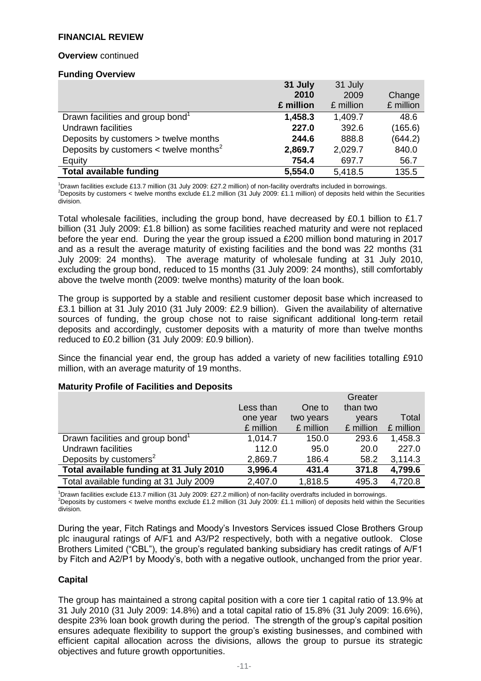#### **Overview** continued

#### **Funding Overview**

|                                                        | 31 July   | 31 July   |           |
|--------------------------------------------------------|-----------|-----------|-----------|
|                                                        | 2010      | 2009      | Change    |
|                                                        | £ million | £ million | £ million |
| Drawn facilities and group bond <sup>1</sup>           | 1,458.3   | 1,409.7   | 48.6      |
| Undrawn facilities                                     | 227.0     | 392.6     | (165.6)   |
| Deposits by customers > twelve months                  | 244.6     | 888.8     | (644.2)   |
| Deposits by customers $\lt$ twelve months <sup>2</sup> | 2,869.7   | 2,029.7   | 840.0     |
| Equity                                                 | 754.4     | 697.7     | 56.7      |
| <b>Total available funding</b>                         | 5,554.0   | 5,418.5   | 135.5     |

<sup>1</sup>Drawn facilities exclude £13.7 million (31 July 2009: £27.2 million) of non-facility overdrafts included in borrowings.

<sup>2</sup>Deposits by customers < twelve months exclude £1.2 million (31 July 2009: £1.1 million) of deposits held within the Securities division.

Total wholesale facilities, including the group bond, have decreased by £0.1 billion to £1.7 billion (31 July 2009: £1.8 billion) as some facilities reached maturity and were not replaced before the year end. During the year the group issued a £200 million bond maturing in 2017 and as a result the average maturity of existing facilities and the bond was 22 months (31 July 2009: 24 months). The average maturity of wholesale funding at 31 July 2010, excluding the group bond, reduced to 15 months (31 July 2009: 24 months), still comfortably above the twelve month (2009: twelve months) maturity of the loan book.

The group is supported by a stable and resilient customer deposit base which increased to £3.1 billion at 31 July 2010 (31 July 2009: £2.9 billion). Given the availability of alternative sources of funding, the group chose not to raise significant additional long-term retail deposits and accordingly, customer deposits with a maturity of more than twelve months reduced to £0.2 billion (31 July 2009: £0.9 billion).

Since the financial year end, the group has added a variety of new facilities totalling £910 million, with an average maturity of 19 months.

|                                              |           |           | Greater   |           |
|----------------------------------------------|-----------|-----------|-----------|-----------|
|                                              | Less than | One to    | than two  |           |
|                                              | one year  | two years | vears     | Total     |
|                                              | £ million | £ million | £ million | £ million |
| Drawn facilities and group bond <sup>1</sup> | 1,014.7   | 150.0     | 293.6     | 1,458.3   |
| Undrawn facilities                           | 112.0     | 95.0      | 20.0      | 227.0     |
| Deposits by customers <sup>2</sup>           | 2,869.7   | 186.4     | 58.2      | 3,114.3   |
| Total available funding at 31 July 2010      | 3,996.4   | 431.4     | 371.8     | 4,799.6   |
| Total available funding at 31 July 2009      | 2,407.0   | 1,818.5   | 495.3     | 4,720.8   |

#### **Maturity Profile of Facilities and Deposits**

<sup>1</sup>Drawn facilities exclude £13.7 million (31 July 2009: £27.2 million) of non-facility overdrafts included in borrowings. <sup>2</sup>Deposits by customers < twelve months exclude £1.2 million (31 July 2009: £1.1 million) of deposits held within the Securities division.

During the year, Fitch Ratings and Moody's Investors Services issued Close Brothers Group plc inaugural ratings of A/F1 and A3/P2 respectively, both with a negative outlook. Close Brothers Limited ("CBL"), the group's regulated banking subsidiary has credit ratings of A/F1 by Fitch and A2/P1 by Moody's, both with a negative outlook, unchanged from the prior year.

# **Capital**

The group has maintained a strong capital position with a core tier 1 capital ratio of 13.9% at 31 July 2010 (31 July 2009: 14.8%) and a total capital ratio of 15.8% (31 July 2009: 16.6%), despite 23% loan book growth during the period. The strength of the group's capital position ensures adequate flexibility to support the group's existing businesses, and combined with efficient capital allocation across the divisions, allows the group to pursue its strategic objectives and future growth opportunities.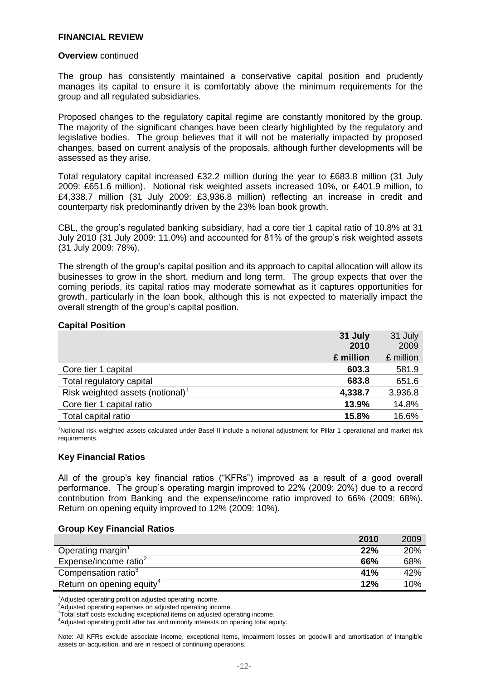#### **Overview** continued

The group has consistently maintained a conservative capital position and prudently manages its capital to ensure it is comfortably above the minimum requirements for the group and all regulated subsidiaries.

Proposed changes to the regulatory capital regime are constantly monitored by the group. The majority of the significant changes have been clearly highlighted by the regulatory and legislative bodies. The group believes that it will not be materially impacted by proposed changes, based on current analysis of the proposals, although further developments will be assessed as they arise.

Total regulatory capital increased £32.2 million during the year to £683.8 million (31 July 2009: £651.6 million). Notional risk weighted assets increased 10%, or £401.9 million, to £4,338.7 million (31 July 2009: £3,936.8 million) reflecting an increase in credit and counterparty risk predominantly driven by the 23% loan book growth.

CBL, the group's regulated banking subsidiary, had a core tier 1 capital ratio of 10.8% at 31 July 2010 (31 July 2009: 11.0%) and accounted for 81% of the group's risk weighted assets (31 July 2009: 78%).

The strength of the group's capital position and its approach to capital allocation will allow its businesses to grow in the short, medium and long term. The group expects that over the coming periods, its capital ratios may moderate somewhat as it captures opportunities for growth, particularly in the loan book, although this is not expected to materially impact the overall strength of the group's capital position.

#### **Capital Position**

|                                              | 31 July   | 31 July   |
|----------------------------------------------|-----------|-----------|
|                                              | 2010      | 2009      |
|                                              | £ million | £ million |
| Core tier 1 capital                          | 603.3     | 581.9     |
| Total regulatory capital                     | 683.8     | 651.6     |
| Risk weighted assets (notional) <sup>1</sup> | 4,338.7   | 3,936.8   |
| Core tier 1 capital ratio                    | 13.9%     | 14.8%     |
| Total capital ratio                          | 15.8%     | 16.6%     |

<sup>1</sup>Notional risk weighted assets calculated under Basel II include a notional adjustment for Pillar 1 operational and market risk requirements.

# **Key Financial Ratios**

All of the group's key financial ratios ("KFRs") improved as a result of a good overall performance. The group's operating margin improved to 22% (2009: 20%) due to a record contribution from Banking and the expense/income ratio improved to 66% (2009: 68%). Return on opening equity improved to 12% (2009: 10%).

#### **Group Key Financial Ratios**

|                                       | 2010 | 2009 |
|---------------------------------------|------|------|
| Operating margin'                     | 22%  | 20%  |
| Expense/income ratio                  | 66%  | 68%  |
| Compensation ratio <sup>3</sup>       | 41%  | 42%  |
| Return on opening equity <sup>4</sup> | 12%  | 10%  |

<sup>1</sup>Adjusted operating profit on adjusted operating income.

2Adjusted operating expenses on adjusted operating income.

<sup>3</sup>Total staff costs excluding exceptional items on adjusted operating income.

<sup>4</sup>Adjusted operating profit after tax and minority interests on opening total equity.

Note: All KFRs exclude associate income, exceptional items, impairment losses on goodwill and amortisation of intangible assets on acquisition, and are in respect of continuing operations.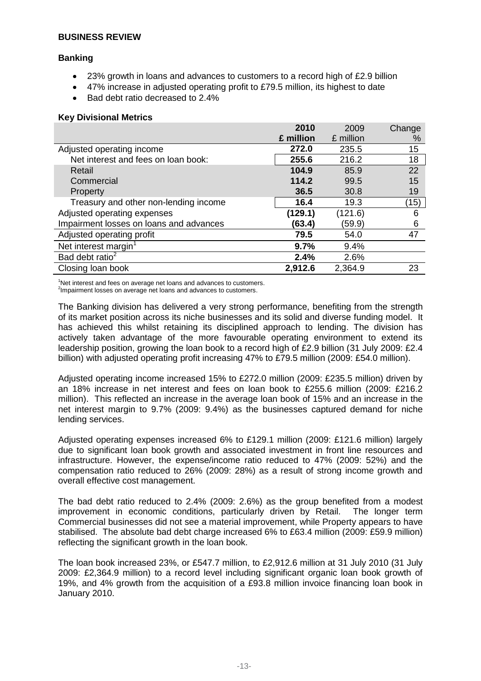# **Banking**

- 23% growth in loans and advances to customers to a record high of £2.9 billion
- 47% increase in adjusted operating profit to £79.5 million, its highest to date
- Bad debt ratio decreased to 2.4%

#### **Key Divisional Metrics**

|                                         | 2010      | 2009      | Change |
|-----------------------------------------|-----------|-----------|--------|
|                                         | £ million | £ million | %      |
| Adjusted operating income               | 272.0     | 235.5     | 15     |
| Net interest and fees on loan book:     | 255.6     | 216.2     | 18     |
| Retail                                  | 104.9     | 85.9      | 22     |
| Commercial                              | 114.2     | 99.5      | 15     |
| Property                                | 36.5      | 30.8      | 19     |
| Treasury and other non-lending income   | 16.4      | 19.3      | (15)   |
| Adjusted operating expenses             | (129.1)   | (121.6)   | 6      |
| Impairment losses on loans and advances | (63.4)    | (59.9)    | 6      |
| Adjusted operating profit               | 79.5      | 54.0      | 47     |
| Net interest margin <sup>1</sup>        | 9.7%      | 9.4%      |        |
| Bad debt ratio <sup>2</sup>             | 2.4%      | 2.6%      |        |
| Closing loan book                       | 2,912.6   | 2,364.9   | 23     |

<sup>1</sup>Net interest and fees on average net loans and advances to customers.

<sup>2</sup>Impairment losses on average net loans and advances to customers.

The Banking division has delivered a very strong performance, benefiting from the strength of its market position across its niche businesses and its solid and diverse funding model. It has achieved this whilst retaining its disciplined approach to lending. The division has actively taken advantage of the more favourable operating environment to extend its leadership position, growing the loan book to a record high of £2.9 billion (31 July 2009: £2.4 billion) with adjusted operating profit increasing 47% to £79.5 million (2009: £54.0 million).

Adjusted operating income increased 15% to £272.0 million (2009: £235.5 million) driven by an 18% increase in net interest and fees on loan book to £255.6 million (2009: £216.2 million). This reflected an increase in the average loan book of 15% and an increase in the net interest margin to 9.7% (2009: 9.4%) as the businesses captured demand for niche lending services.

Adjusted operating expenses increased 6% to £129.1 million (2009: £121.6 million) largely due to significant loan book growth and associated investment in front line resources and infrastructure. However, the expense/income ratio reduced to 47% (2009: 52%) and the compensation ratio reduced to 26% (2009: 28%) as a result of strong income growth and overall effective cost management.

The bad debt ratio reduced to 2.4% (2009: 2.6%) as the group benefited from a modest improvement in economic conditions, particularly driven by Retail. The longer term Commercial businesses did not see a material improvement, while Property appears to have stabilised. The absolute bad debt charge increased 6% to £63.4 million (2009: £59.9 million) reflecting the significant growth in the loan book.

The loan book increased 23%, or £547.7 million, to £2,912.6 million at 31 July 2010 (31 July 2009: £2,364.9 million) to a record level including significant organic loan book growth of 19%, and 4% growth from the acquisition of a £93.8 million invoice financing loan book in January 2010.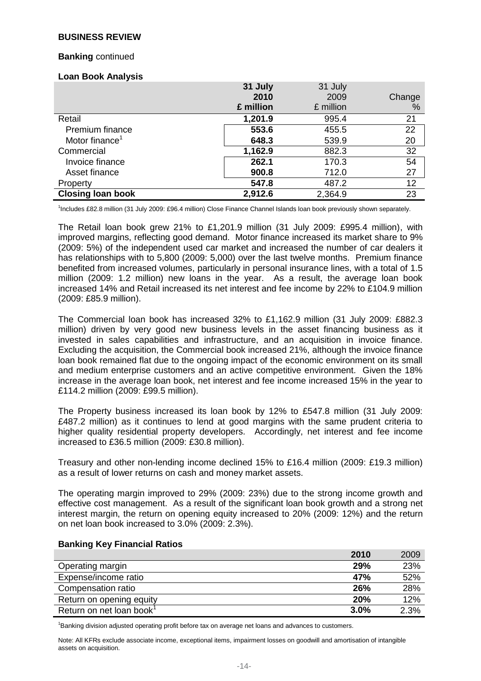#### **Banking** continued

#### **Loan Book Analysis**

|                            | 31 July   | 31 July   |        |
|----------------------------|-----------|-----------|--------|
|                            | 2010      | 2009      | Change |
|                            | £ million | £ million | %      |
| Retail                     | 1,201.9   | 995.4     | 21     |
| Premium finance            | 553.6     | 455.5     | 22     |
| Motor finance <sup>1</sup> | 648.3     | 539.9     | 20     |
| Commercial                 | 1,162.9   | 882.3     | 32     |
| Invoice finance            | 262.1     | 170.3     | 54     |
| Asset finance              | 900.8     | 712.0     | 27     |
| Property                   | 547.8     | 487.2     | 12     |
| <b>Closing loan book</b>   | 2,912.6   | 2,364.9   | 23     |

1 Includes £82.8 million (31 July 2009: £96.4 million) Close Finance Channel Islands loan book previously shown separately.

The Retail loan book grew 21% to £1,201.9 million (31 July 2009: £995.4 million), with improved margins, reflecting good demand. Motor finance increased its market share to 9% (2009: 5%) of the independent used car market and increased the number of car dealers it has relationships with to 5,800 (2009: 5,000) over the last twelve months. Premium finance benefited from increased volumes, particularly in personal insurance lines, with a total of 1.5 million (2009: 1.2 million) new loans in the year. As a result, the average loan book increased 14% and Retail increased its net interest and fee income by 22% to £104.9 million (2009: £85.9 million).

The Commercial loan book has increased 32% to £1,162.9 million (31 July 2009: £882.3 million) driven by very good new business levels in the asset financing business as it invested in sales capabilities and infrastructure, and an acquisition in invoice finance. Excluding the acquisition, the Commercial book increased 21%, although the invoice finance loan book remained flat due to the ongoing impact of the economic environment on its small and medium enterprise customers and an active competitive environment. Given the 18% increase in the average loan book, net interest and fee income increased 15% in the year to £114.2 million (2009: £99.5 million).

The Property business increased its loan book by 12% to £547.8 million (31 July 2009: £487.2 million) as it continues to lend at good margins with the same prudent criteria to higher quality residential property developers. Accordingly, net interest and fee income increased to £36.5 million (2009: £30.8 million).

Treasury and other non-lending income declined 15% to £16.4 million (2009: £19.3 million) as a result of lower returns on cash and money market assets.

The operating margin improved to 29% (2009: 23%) due to the strong income growth and effective cost management. As a result of the significant loan book growth and a strong net interest margin, the return on opening equity increased to 20% (2009: 12%) and the return on net loan book increased to 3.0% (2009: 2.3%).

|                                      | 2010 | 2009 |
|--------------------------------------|------|------|
| Operating margin                     | 29%  | 23%  |
| Expense/income ratio                 | 47%  | 52%  |
| Compensation ratio                   | 26%  | 28%  |
| Return on opening equity             | 20%  | 12%  |
| Return on net loan book <sup>1</sup> | 3.0% | 2.3% |

#### **Banking Key Financial Ratios**

<sup>1</sup>Banking division adjusted operating profit before tax on average net loans and advances to customers.

Note: All KFRs exclude associate income, exceptional items, impairment losses on goodwill and amortisation of intangible assets on acquisition.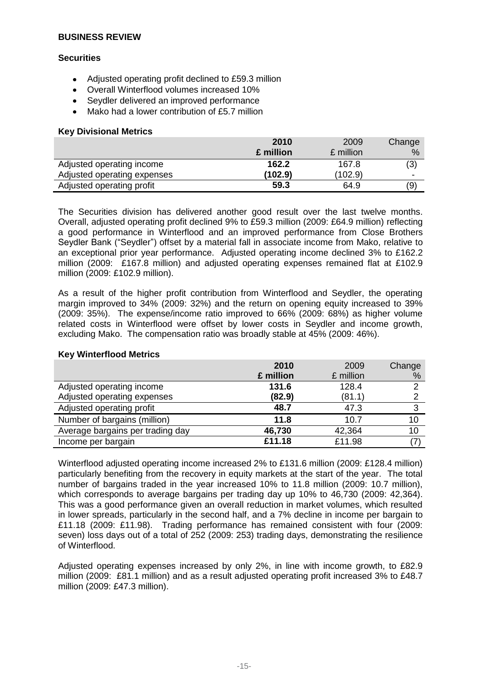# **Securities**

- Adjusted operating profit declined to £59.3 million  $\bullet$
- Overall Winterflood volumes increased 10%
- Seydler delivered an improved performance  $\bullet$
- Mako had a lower contribution of £5.7 million

# **Key Divisional Metrics**

|                             | 2010      | 2009      | Change                   |
|-----------------------------|-----------|-----------|--------------------------|
|                             | £ million | £ million | %                        |
| Adjusted operating income   | 162.2     | 167.8     | (3)                      |
| Adjusted operating expenses | (102.9)   | (102.9)   | $\overline{\phantom{0}}$ |
| Adjusted operating profit   | 59.3      | 64.9      | (9)                      |

The Securities division has delivered another good result over the last twelve months. Overall, adjusted operating profit declined 9% to £59.3 million (2009: £64.9 million) reflecting a good performance in Winterflood and an improved performance from Close Brothers Seydler Bank ("Seydler") offset by a material fall in associate income from Mako, relative to an exceptional prior year performance. Adjusted operating income declined 3% to £162.2 million (2009: £167.8 million) and adjusted operating expenses remained flat at £102.9 million (2009: £102.9 million).

As a result of the higher profit contribution from Winterflood and Seydler, the operating margin improved to 34% (2009: 32%) and the return on opening equity increased to 39% (2009: 35%). The expense/income ratio improved to 66% (2009: 68%) as higher volume related costs in Winterflood were offset by lower costs in Seydler and income growth, excluding Mako. The compensation ratio was broadly stable at 45% (2009: 46%).

|                                  | 2010      | 2009      | Change |
|----------------------------------|-----------|-----------|--------|
|                                  | £ million | £ million | %      |
| Adjusted operating income        | 131.6     | 128.4     | っ      |
| Adjusted operating expenses      | (82.9)    | (81.1)    | ⌒      |
| Adjusted operating profit        | 48.7      | 47.3      | 3      |
| Number of bargains (million)     | 11.8      | 10.7      | 10     |
| Average bargains per trading day | 46,730    | 42,364    | 10     |
| Income per bargain               | £11.18    | £11.98    |        |

# **Key Winterflood Metrics**

Winterflood adjusted operating income increased 2% to £131.6 million (2009: £128.4 million) particularly benefiting from the recovery in equity markets at the start of the year. The total number of bargains traded in the year increased 10% to 11.8 million (2009: 10.7 million), which corresponds to average bargains per trading day up 10% to 46,730 (2009: 42,364). This was a good performance given an overall reduction in market volumes, which resulted in lower spreads, particularly in the second half, and a 7% decline in income per bargain to £11.18 (2009: £11.98). Trading performance has remained consistent with four (2009: seven) loss days out of a total of 252 (2009: 253) trading days, demonstrating the resilience of Winterflood.

Adjusted operating expenses increased by only 2%, in line with income growth, to £82.9 million (2009: £81.1 million) and as a result adjusted operating profit increased 3% to £48.7 million (2009: £47.3 million).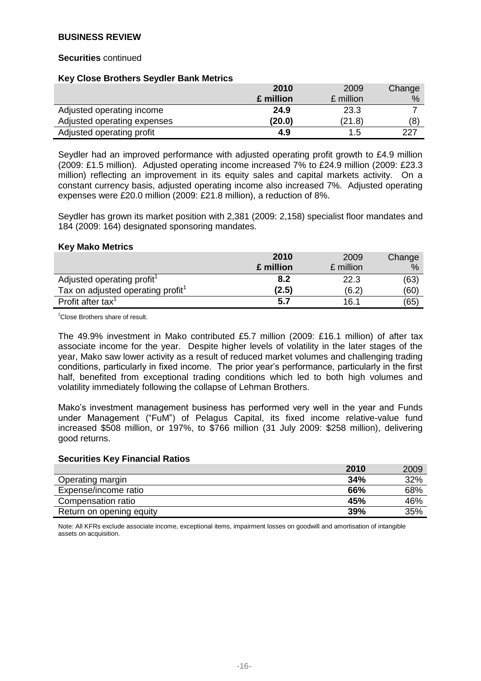#### **Securities** continued

#### **Key Close Brothers Seydler Bank Metrics**

|                             | 2010      | 2009      | Change |
|-----------------------------|-----------|-----------|--------|
|                             | £ million | £ million | %      |
| Adjusted operating income   | 24.9      | 23.3      |        |
| Adjusted operating expenses | (20.0)    | (21.8)    | (8)    |
| Adjusted operating profit   | 4.9       | 1.5       | 227    |

Seydler had an improved performance with adjusted operating profit growth to £4.9 million (2009: £1.5 million). Adjusted operating income increased 7% to £24.9 million (2009: £23.3 million) reflecting an improvement in its equity sales and capital markets activity. On a constant currency basis, adjusted operating income also increased 7%. Adjusted operating expenses were £20.0 million (2009: £21.8 million), a reduction of 8%.

Seydler has grown its market position with 2,381 (2009: 2,158) specialist floor mandates and 184 (2009: 164) designated sponsoring mandates.

#### **Key Mako Metrics**

|                                               | 2010      | 2009      | Change |
|-----------------------------------------------|-----------|-----------|--------|
|                                               | £ million | £ million | %      |
| Adjusted operating profit <sup>1</sup>        | 8.2       | 22.3      | (63)   |
| Tax on adjusted operating profit <sup>1</sup> | (2.5)     | (6.2)     | (60)   |
| Profit after tax <sup>1</sup>                 | 5.7       | 16.1      | (65)   |

 $1$ Close Brothers share of result.

The 49.9% investment in Mako contributed £5.7 million (2009: £16.1 million) of after tax associate income for the year. Despite higher levels of volatility in the later stages of the year, Mako saw lower activity as a result of reduced market volumes and challenging trading conditions, particularly in fixed income. The prior year's performance, particularly in the first half, benefited from exceptional trading conditions which led to both high volumes and volatility immediately following the collapse of Lehman Brothers.

Mako's investment management business has performed very well in the year and Funds under Management ("FuM") of Pelagus Capital, its fixed income relative-value fund increased \$508 million, or 197%, to \$766 million (31 July 2009: \$258 million), delivering good returns.

#### **Securities Key Financial Ratios**

|                          | 2010 | 2009 |
|--------------------------|------|------|
| Operating margin         | 34%  | 32%  |
| Expense/income ratio     | 66%  | 68%  |
| Compensation ratio       | 45%  | 46%  |
| Return on opening equity | 39%  | 35%  |

Note: All KFRs exclude associate income, exceptional items, impairment losses on goodwill and amortisation of intangible assets on acquisition.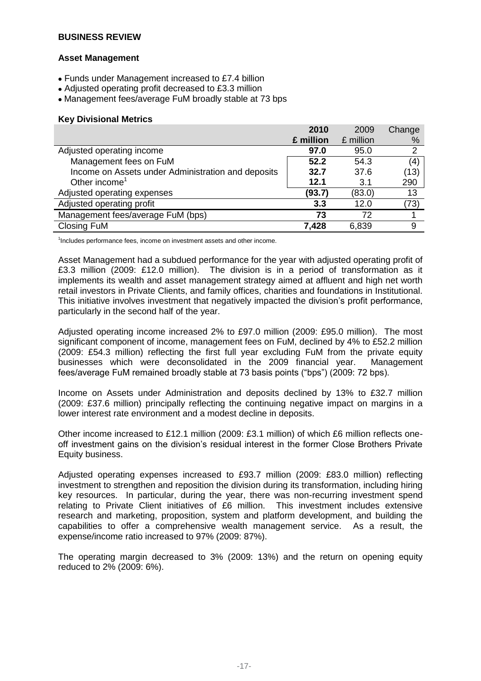# **Asset Management**

- Funds under Management increased to £7.4 billion
- Adjusted operating profit decreased to £3.3 million
- Management fees/average FuM broadly stable at 73 bps

#### **Key Divisional Metrics**

|                                                    | 2010      | 2009      | Change         |
|----------------------------------------------------|-----------|-----------|----------------|
|                                                    | £ million | £ million | %              |
| Adjusted operating income                          | 97.0      | 95.0      | $\overline{2}$ |
| Management fees on FuM                             | 52.2      | 54.3      | (4)            |
| Income on Assets under Administration and deposits | 32.7      | 37.6      | (13)           |
| Other income <sup>1</sup>                          | 12.1      | 3.1       | 290            |
| Adjusted operating expenses                        | (93.7)    | (83.0)    | 13             |
| Adjusted operating profit                          | 3.3       | 12.0      | (73)           |
| Management fees/average FuM (bps)                  | 73        | 72        |                |
| <b>Closing FuM</b>                                 | 7,428     | 6,839     | 9              |

<sup>1</sup>Includes performance fees, income on investment assets and other income.

Asset Management had a subdued performance for the year with adiusted operating profit of £3.3 million (2009: £12.0 million). The division is in a period of transformation as it implements its wealth and asset management strategy aimed at affluent and high net worth retail investors in Private Clients, and family offices, charities and foundations in Institutional. This initiative involves investment that negatively impacted the division's profit performance, particularly in the second half of the year.

Adjusted operating income increased 2% to £97.0 million (2009: £95.0 million). The most significant component of income, management fees on FuM, declined by 4% to £52.2 million (2009: £54.3 million) reflecting the first full year excluding FuM from the private equity businesses which were deconsolidated in the 2009 financial year. Management fees/average FuM remained broadly stable at 73 basis points ("bps") (2009: 72 bps).

Income on Assets under Administration and deposits declined by 13% to £32.7 million (2009: £37.6 million) principally reflecting the continuing negative impact on margins in a lower interest rate environment and a modest decline in deposits.

Other income increased to £12.1 million (2009: £3.1 million) of which £6 million reflects oneoff investment gains on the division's residual interest in the former Close Brothers Private Equity business.

Adjusted operating expenses increased to £93.7 million (2009: £83.0 million) reflecting investment to strengthen and reposition the division during its transformation, including hiring key resources. In particular, during the year, there was non-recurring investment spend relating to Private Client initiatives of £6 million. This investment includes extensive research and marketing, proposition, system and platform development, and building the capabilities to offer a comprehensive wealth management service. As a result, the expense/income ratio increased to 97% (2009: 87%).

The operating margin decreased to 3% (2009: 13%) and the return on opening equity reduced to 2% (2009: 6%).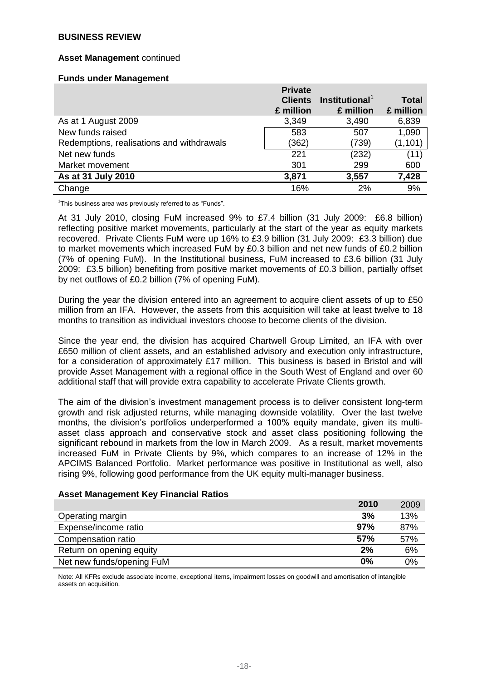#### **Asset Management** continued

#### **Funds under Management**

|                                           | <b>Private</b> |                            |              |
|-------------------------------------------|----------------|----------------------------|--------------|
|                                           | <b>Clients</b> | Institutional <sup>1</sup> | <b>Total</b> |
|                                           | £ million      | £ million                  | £ million    |
| As at 1 August 2009                       | 3,349          | 3,490                      | 6,839        |
| New funds raised                          | 583            | 507                        | 1,090        |
| Redemptions, realisations and withdrawals | (362)          | (739)                      | (1, 101)     |
| Net new funds                             | 221            | (232)                      | (11)         |
| Market movement                           | 301            | 299                        | 600          |
| As at 31 July 2010                        | 3,871          | 3,557                      | 7,428        |
| Change                                    | 16%            | 2%                         | 9%           |

<sup>1</sup>This business area was previously referred to as "Funds".

At 31 July 2010, closing FuM increased 9% to £7.4 billion (31 July 2009: £6.8 billion) reflecting positive market movements, particularly at the start of the year as equity markets recovered. Private Clients FuM were up 16% to £3.9 billion (31 July 2009: £3.3 billion) due to market movements which increased FuM by £0.3 billion and net new funds of £0.2 billion (7% of opening FuM). In the Institutional business, FuM increased to £3.6 billion (31 July 2009: £3.5 billion) benefiting from positive market movements of £0.3 billion, partially offset by net outflows of £0.2 billion (7% of opening FuM).

During the year the division entered into an agreement to acquire client assets of up to £50 million from an IFA. However, the assets from this acquisition will take at least twelve to 18 months to transition as individual investors choose to become clients of the division.

Since the year end, the division has acquired Chartwell Group Limited, an IFA with over £650 million of client assets, and an established advisory and execution only infrastructure, for a consideration of approximately £17 million. This business is based in Bristol and will provide Asset Management with a regional office in the South West of England and over 60 additional staff that will provide extra capability to accelerate Private Clients growth.

The aim of the division's investment management process is to deliver consistent long-term growth and risk adjusted returns, while managing downside volatility. Over the last twelve months, the division's portfolios underperformed a 100% equity mandate, given its multiasset class approach and conservative stock and asset class positioning following the significant rebound in markets from the low in March 2009. As a result, market movements increased FuM in Private Clients by 9%, which compares to an increase of 12% in the APCIMS Balanced Portfolio. Market performance was positive in Institutional as well, also rising 9%, following good performance from the UK equity multi-manager business.

# **Asset Management Key Financial Ratios**

|                           | 2010       | 2009 |
|---------------------------|------------|------|
| Operating margin          | 3%         | 13%  |
| Expense/income ratio      | 97%        | 87%  |
| Compensation ratio        | <b>57%</b> | 57%  |
| Return on opening equity  | 2%         | 6%   |
| Net new funds/opening FuM | 0%         | 0%   |

Note: All KFRs exclude associate income, exceptional items, impairment losses on goodwill and amortisation of intangible assets on acquisition.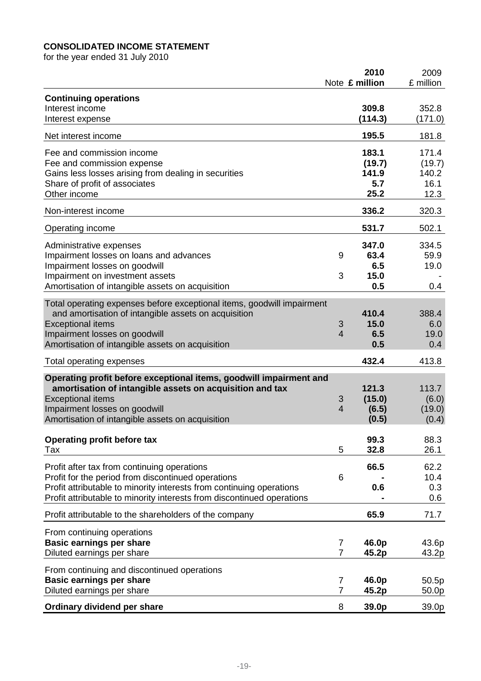# **CONSOLIDATED INCOME STATEMENT**

for the year ended 31 July 2010

|                                                                                                                                                                                                                                                     |                     | 2010<br>Note £ million                  | 2009<br>£ million                        |
|-----------------------------------------------------------------------------------------------------------------------------------------------------------------------------------------------------------------------------------------------------|---------------------|-----------------------------------------|------------------------------------------|
| <b>Continuing operations</b><br>Interest income<br>Interest expense                                                                                                                                                                                 |                     | 309.8<br>(114.3)                        | 352.8<br>(171.0)                         |
| Net interest income                                                                                                                                                                                                                                 |                     | 195.5                                   | 181.8                                    |
| Fee and commission income<br>Fee and commission expense<br>Gains less losses arising from dealing in securities<br>Share of profit of associates<br>Other income                                                                                    |                     | 183.1<br>(19.7)<br>141.9<br>5.7<br>25.2 | 171.4<br>(19.7)<br>140.2<br>16.1<br>12.3 |
| Non-interest income                                                                                                                                                                                                                                 |                     | 336.2                                   | 320.3                                    |
| Operating income                                                                                                                                                                                                                                    |                     | 531.7                                   | 502.1                                    |
| Administrative expenses<br>Impairment losses on loans and advances<br>Impairment losses on goodwill<br>Impairment on investment assets<br>Amortisation of intangible assets on acquisition                                                          | 9<br>3              | 347.0<br>63.4<br>6.5<br>15.0<br>0.5     | 334.5<br>59.9<br>19.0<br>0.4             |
| Total operating expenses before exceptional items, goodwill impairment<br>and amortisation of intangible assets on acquisition<br><b>Exceptional items</b><br>Impairment losses on goodwill<br>Amortisation of intangible assets on acquisition     | 3<br>$\overline{4}$ | 410.4<br>15.0<br>6.5<br>0.5             | 388.4<br>6.0<br>19.0<br>0.4              |
| Total operating expenses                                                                                                                                                                                                                            |                     | 432.4                                   | 413.8                                    |
| Operating profit before exceptional items, goodwill impairment and<br>amortisation of intangible assets on acquisition and tax<br><b>Exceptional items</b><br>Impairment losses on goodwill<br>Amortisation of intangible assets on acquisition     | 3<br>$\overline{4}$ | 121.3<br>(15.0)<br>(6.5)<br>(0.5)       | 113.7<br>(6.0)<br>(19.0)<br>(0.4)        |
| <b>Operating profit before tax</b><br>Tax                                                                                                                                                                                                           | 5                   | 99.3<br>32.8                            | 88.3<br>26.1                             |
| Profit after tax from continuing operations<br>Profit for the period from discontinued operations<br>Profit attributable to minority interests from continuing operations<br>Profit attributable to minority interests from discontinued operations | 6                   | 66.5<br>0.6                             | 62.2<br>10.4<br>0.3<br>0.6               |
| Profit attributable to the shareholders of the company                                                                                                                                                                                              |                     | 65.9                                    | 71.7                                     |
| From continuing operations<br><b>Basic earnings per share</b><br>Diluted earnings per share                                                                                                                                                         | 7<br>$\overline{7}$ | 46.0p<br>45.2p                          | 43.6p<br>43.2p                           |
| From continuing and discontinued operations<br><b>Basic earnings per share</b><br>Diluted earnings per share                                                                                                                                        | 7<br>$\overline{7}$ | 46.0p<br>45.2p                          | 50.5p<br>50.0p                           |
| Ordinary dividend per share                                                                                                                                                                                                                         | 8                   | 39.0p                                   | 39.0p                                    |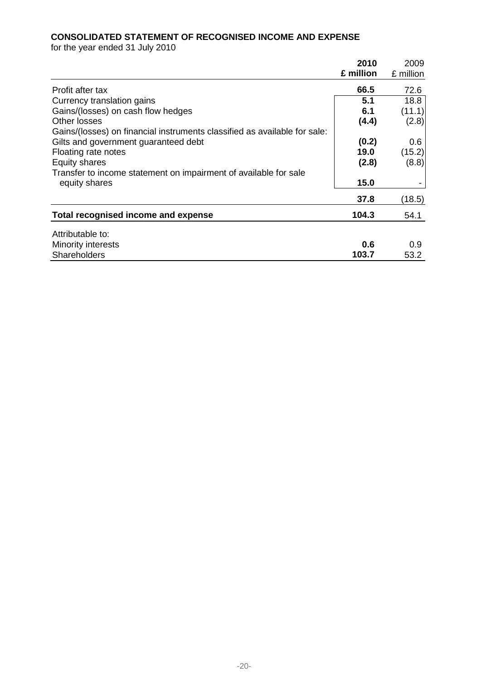# **CONSOLIDATED STATEMENT OF RECOGNISED INCOME AND EXPENSE**

for the year ended 31 July 2010

|                                                                           | 2010      | 2009      |
|---------------------------------------------------------------------------|-----------|-----------|
|                                                                           | £ million | £ million |
| Profit after tax                                                          | 66.5      | 72.6      |
| Currency translation gains                                                | 5.1       | 18.8      |
| Gains/(losses) on cash flow hedges                                        | 6.1       | (11.1)    |
| Other losses                                                              | (4.4)     | (2.8)     |
| Gains/(losses) on financial instruments classified as available for sale: |           |           |
| Gilts and government guaranteed debt                                      | (0.2)     | 0.6       |
| Floating rate notes                                                       | 19.0      | (15.2)    |
| Equity shares                                                             | (2.8)     | (8.8)     |
| Transfer to income statement on impairment of available for sale          |           |           |
| equity shares                                                             | 15.0      |           |
|                                                                           | 37.8      | (18.5)    |
| Total recognised income and expense                                       | 104.3     | 54.1      |
| Attributable to:                                                          |           |           |
| Minority interests                                                        | 0.6       | 0.9       |
| <b>Shareholders</b>                                                       | 103.7     | 53.2      |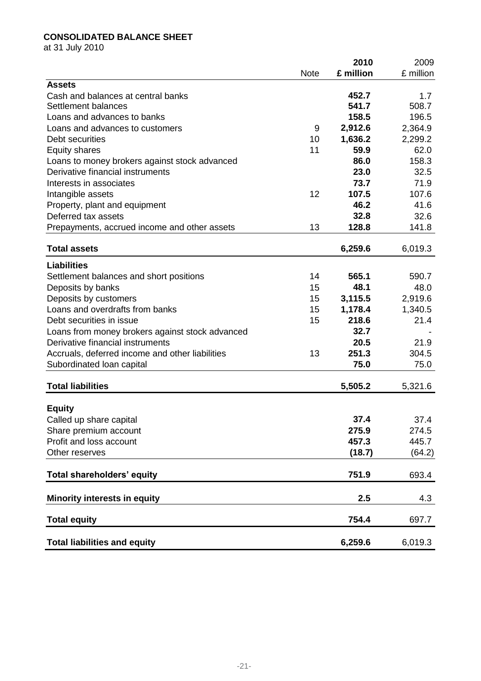# **CONSOLIDATED BALANCE SHEET**

at 31 July 2010

|                                                 |             | 2010      | 2009      |
|-------------------------------------------------|-------------|-----------|-----------|
|                                                 | <b>Note</b> | £ million | £ million |
| <b>Assets</b>                                   |             |           |           |
| Cash and balances at central banks              |             | 452.7     | 1.7       |
| Settlement balances                             |             | 541.7     | 508.7     |
| Loans and advances to banks                     |             | 158.5     | 196.5     |
| Loans and advances to customers                 | 9           | 2,912.6   | 2,364.9   |
| Debt securities                                 | 10          | 1,636.2   | 2,299.2   |
| <b>Equity shares</b>                            | 11          | 59.9      | 62.0      |
| Loans to money brokers against stock advanced   |             | 86.0      | 158.3     |
| Derivative financial instruments                |             | 23.0      | 32.5      |
| Interests in associates                         |             | 73.7      | 71.9      |
| Intangible assets                               | 12          | 107.5     | 107.6     |
| Property, plant and equipment                   |             | 46.2      | 41.6      |
| Deferred tax assets                             |             | 32.8      | 32.6      |
| Prepayments, accrued income and other assets    | 13          | 128.8     | 141.8     |
| <b>Total assets</b>                             |             | 6,259.6   | 6,019.3   |
| <b>Liabilities</b>                              |             |           |           |
|                                                 | 14          | 565.1     | 590.7     |
| Settlement balances and short positions         | 15          | 48.1      |           |
| Deposits by banks                               |             |           | 48.0      |
| Deposits by customers                           | 15          | 3,115.5   | 2,919.6   |
| Loans and overdrafts from banks                 | 15          | 1,178.4   | 1,340.5   |
| Debt securities in issue                        | 15          | 218.6     | 21.4      |
| Loans from money brokers against stock advanced |             | 32.7      |           |
| Derivative financial instruments                |             | 20.5      | 21.9      |
| Accruals, deferred income and other liabilities | 13          | 251.3     | 304.5     |
| Subordinated Ioan capital                       |             | 75.0      | 75.0      |
| <b>Total liabilities</b>                        |             | 5,505.2   | 5,321.6   |
|                                                 |             |           |           |
| <b>Equity</b>                                   |             |           |           |
| Called up share capital                         |             | 37.4      | 37.4      |
| Share premium account                           |             | 275.9     | 274.5     |
| Profit and loss account                         |             | 457.3     | 445.7     |
| Other reserves                                  |             | (18.7)    | (64.2)    |
| Total shareholders' equity                      |             | 751.9     | 693.4     |
| <b>Minority interests in equity</b>             |             | 2.5       | 4.3       |
| <b>Total equity</b>                             |             | 754.4     | 697.7     |
|                                                 |             |           |           |
| <b>Total liabilities and equity</b>             |             | 6,259.6   | 6,019.3   |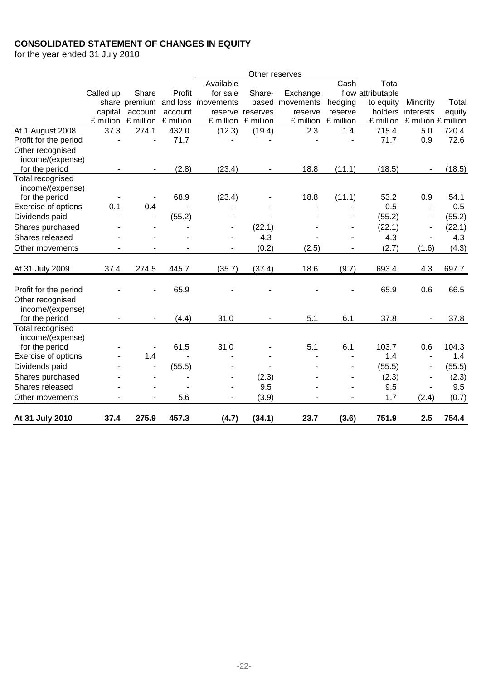# **CONSOLIDATED STATEMENT OF CHANGES IN EQUITY**

for the year ended 31 July 2010

|                       |           |               |           |                    | Other reserves |           |           |                   |                               |        |
|-----------------------|-----------|---------------|-----------|--------------------|----------------|-----------|-----------|-------------------|-------------------------------|--------|
|                       |           |               |           | Available          |                |           | Cash      | Total             |                               |        |
|                       | Called up | Share         | Profit    | for sale           | Share-         | Exchange  |           | flow attributable |                               |        |
|                       |           | share premium |           | and loss movements | based          | movements | hedging   | to equity         | Minority                      | Total  |
|                       | capital   | account       | account   | reserve            | reserves       | reserve   | reserve   | holders           | interests                     | equity |
|                       | £ million | £ million     | £ million | £ million          | £ million      | £ million | £ million |                   | £ million £ million £ million |        |
| At 1 August 2008      | 37.3      | 274.1         | 432.0     | (12.3)             | (19.4)         | 2.3       | 1.4       | 715.4             | 5.0                           | 720.4  |
| Profit for the period | ä,        |               | 71.7      |                    |                |           |           | 71.7              | 0.9                           | 72.6   |
| Other recognised      |           |               |           |                    |                |           |           |                   |                               |        |
| income/(expense)      |           |               |           |                    |                |           |           |                   |                               |        |
| for the period        |           |               | (2.8)     | (23.4)             |                | 18.8      | (11.1)    | (18.5)            |                               | (18.5) |
| Total recognised      |           |               |           |                    |                |           |           |                   |                               |        |
| income/(expense)      |           |               |           |                    |                |           |           |                   |                               |        |
| for the period        |           |               | 68.9      | (23.4)             |                | 18.8      | (11.1)    | 53.2              | 0.9                           | 54.1   |
| Exercise of options   | 0.1       | 0.4           |           |                    |                |           |           | 0.5               | $\overline{a}$                | 0.5    |
| Dividends paid        |           |               | (55.2)    |                    |                |           |           | (55.2)            |                               | (55.2) |
| Shares purchased      |           |               |           |                    | (22.1)         |           |           | (22.1)            | $\overline{\phantom{a}}$      | (22.1) |
| Shares released       |           |               |           |                    | 4.3            |           |           | 4.3               |                               | 4.3    |
| Other movements       |           |               |           |                    | (0.2)          | (2.5)     |           | (2.7)             | (1.6)                         | (4.3)  |
|                       |           |               |           |                    |                |           |           |                   |                               |        |
| At 31 July 2009       | 37.4      | 274.5         | 445.7     | (35.7)             | (37.4)         | 18.6      | (9.7)     | 693.4             | 4.3                           | 697.7  |
|                       |           |               |           |                    |                |           |           |                   |                               |        |
| Profit for the period |           |               | 65.9      |                    |                |           |           | 65.9              | 0.6                           | 66.5   |
| Other recognised      |           |               |           |                    |                |           |           |                   |                               |        |
| income/(expense)      |           |               |           |                    |                |           |           |                   |                               |        |
| for the period        |           |               | (4.4)     | 31.0               |                | 5.1       | 6.1       | 37.8              |                               | 37.8   |
| Total recognised      |           |               |           |                    |                |           |           |                   |                               |        |
| income/(expense)      |           |               |           |                    |                |           |           |                   |                               |        |
| for the period        |           |               | 61.5      | 31.0               |                | 5.1       | 6.1       | 103.7             | 0.6                           | 104.3  |
| Exercise of options   |           | 1.4           |           |                    |                |           |           | 1.4               | $\blacksquare$                | 1.4    |
| Dividends paid        |           |               | (55.5)    |                    |                |           |           | (55.5)            | ÷                             | (55.5) |
| Shares purchased      |           |               |           |                    | (2.3)          |           |           | (2.3)             | $\blacksquare$                | (2.3)  |
| Shares released       |           |               |           | ٠                  | 9.5            |           |           | 9.5               |                               | 9.5    |
| Other movements       |           |               | 5.6       |                    | (3.9)          |           |           | 1.7               | (2.4)                         | (0.7)  |
|                       |           |               |           |                    |                |           |           |                   |                               |        |
| At 31 July 2010       | 37.4      | 275.9         | 457.3     | (4.7)              | (34.1)         | 23.7      | (3.6)     | 751.9             | 2.5                           | 754.4  |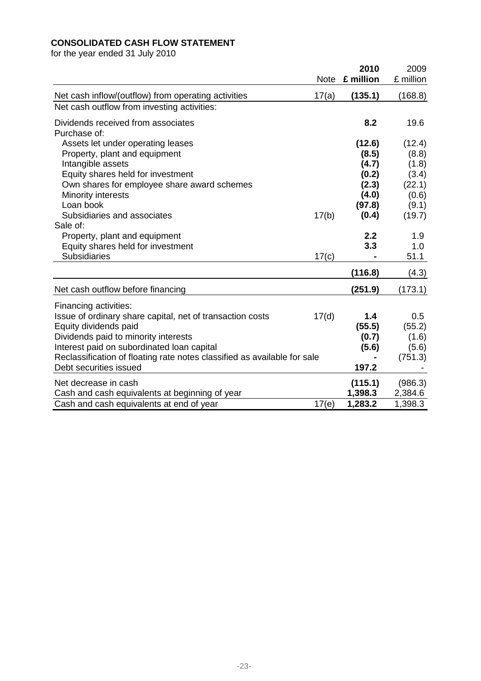# **CONSOLIDATED CASH FLOW STATEMENT**

for the year ended 31 July 2010

|                                                                          | <b>Note</b> | 2010<br>£ million | 2009<br>£ million |
|--------------------------------------------------------------------------|-------------|-------------------|-------------------|
| Net cash inflow/(outflow) from operating activities                      | 17(a)       | (135.1)           | (168.8)           |
| Net cash outflow from investing activities:                              |             |                   |                   |
| Dividends received from associates<br>Purchase of:                       |             | 8.2               | 19.6              |
| Assets let under operating leases                                        |             | (12.6)            | (12.4)            |
| Property, plant and equipment                                            |             | (8.5)             | (8.8)             |
| Intangible assets                                                        |             | (4.7)             | (1.8)             |
| Equity shares held for investment                                        |             | (0.2)             | (3.4)             |
| Own shares for employee share award schemes                              |             | (2.3)             | (22.1)            |
| Minority interests                                                       |             | (4.0)             | (0.6)             |
| Loan book                                                                |             | (97.8)            | (9.1)             |
| Subsidiaries and associates                                              | 17(b)       | (0.4)             | (19.7)            |
| Sale of:                                                                 |             |                   |                   |
| Property, plant and equipment                                            |             | 2.2               | 1.9               |
| Equity shares held for investment                                        |             | 3.3               | 1.0               |
| <b>Subsidiaries</b>                                                      | 17(c)       |                   | 51.1              |
|                                                                          |             | (116.8)           | (4.3)             |
| Net cash outflow before financing                                        |             | (251.9)           | (173.1)           |
| Financing activities:                                                    |             |                   |                   |
| Issue of ordinary share capital, net of transaction costs                | 17(d)       | 1.4               | 0.5               |
| Equity dividends paid                                                    |             | (55.5)            | (55.2)            |
| Dividends paid to minority interests                                     |             | (0.7)             | (1.6)             |
| Interest paid on subordinated loan capital                               |             | (5.6)             | (5.6)             |
| Reclassification of floating rate notes classified as available for sale |             |                   | (751.3)           |
| Debt securities issued                                                   |             | 197.2             |                   |
| Net decrease in cash                                                     |             | (115.1)           | (986.3)           |
| Cash and cash equivalents at beginning of year                           |             | 1,398.3           | 2,384.6           |
| Cash and cash equivalents at end of year                                 | 17(e)       | 1,283.2           | 1,398.3           |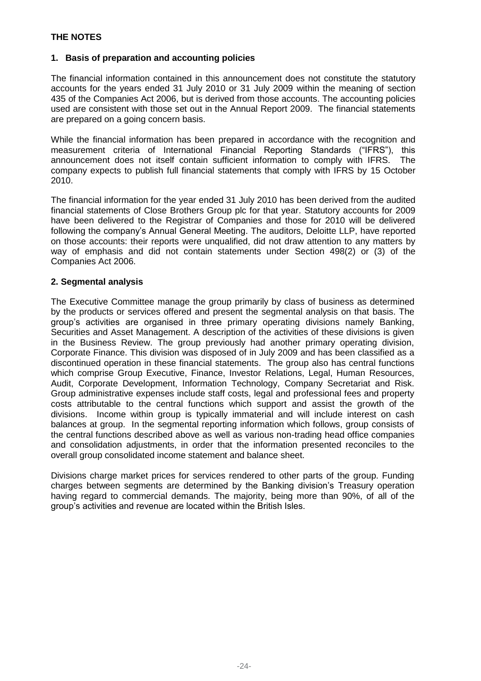# **1. Basis of preparation and accounting policies**

The financial information contained in this announcement does not constitute the statutory accounts for the years ended 31 July 2010 or 31 July 2009 within the meaning of section 435 of the Companies Act 2006, but is derived from those accounts. The accounting policies used are consistent with those set out in the Annual Report 2009. The financial statements are prepared on a going concern basis.

While the financial information has been prepared in accordance with the recognition and measurement criteria of International Financial Reporting Standards ("IFRS"), this announcement does not itself contain sufficient information to comply with IFRS. The company expects to publish full financial statements that comply with IFRS by 15 October 2010.

The financial information for the year ended 31 July 2010 has been derived from the audited financial statements of Close Brothers Group plc for that year. Statutory accounts for 2009 have been delivered to the Registrar of Companies and those for 2010 will be delivered following the company's Annual General Meeting. The auditors, Deloitte LLP, have reported on those accounts: their reports were unqualified, did not draw attention to any matters by way of emphasis and did not contain statements under Section 498(2) or (3) of the Companies Act 2006.

# **2. Segmental analysis**

The Executive Committee manage the group primarily by class of business as determined by the products or services offered and present the segmental analysis on that basis. The group's activities are organised in three primary operating divisions namely Banking, Securities and Asset Management. A description of the activities of these divisions is given in the Business Review. The group previously had another primary operating division, Corporate Finance. This division was disposed of in July 2009 and has been classified as a discontinued operation in these financial statements. The group also has central functions which comprise Group Executive, Finance, Investor Relations, Legal, Human Resources, Audit, Corporate Development, Information Technology, Company Secretariat and Risk. Group administrative expenses include staff costs, legal and professional fees and property costs attributable to the central functions which support and assist the growth of the divisions. Income within group is typically immaterial and will include interest on cash balances at group. In the segmental reporting information which follows, group consists of the central functions described above as well as various non-trading head office companies and consolidation adjustments, in order that the information presented reconciles to the overall group consolidated income statement and balance sheet.

Divisions charge market prices for services rendered to other parts of the group. Funding charges between segments are determined by the Banking division's Treasury operation having regard to commercial demands. The majority, being more than 90%, of all of the group's activities and revenue are located within the British Isles.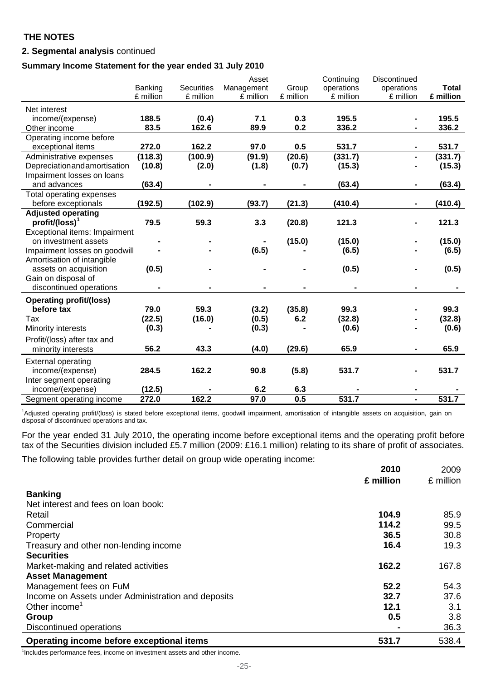# **2. Segmental analysis** continued

# **Summary Income Statement for the year ended 31 July 2010**

|                                 |           |                   | Asset      |           | Continuing | Discontinued   |              |
|---------------------------------|-----------|-------------------|------------|-----------|------------|----------------|--------------|
|                                 | Banking   | <b>Securities</b> | Management | Group     | operations | operations     | <b>Total</b> |
|                                 | £ million | £ million         | £ million  | £ million | £ million  | £ million      | £ million    |
| Net interest                    |           |                   |            |           |            |                |              |
| income/(expense)                | 188.5     | (0.4)             | 7.1        | 0.3       | 195.5      |                | 195.5        |
| Other income                    | 83.5      | 162.6             | 89.9       | 0.2       | 336.2      |                | 336.2        |
| Operating income before         |           |                   |            |           |            |                |              |
| exceptional items               | 272.0     | 162.2             | 97.0       | 0.5       | 531.7      |                | 531.7        |
| Administrative expenses         | (118.3)   | (100.9)           | (91.9)     | (20.6)    | (331.7)    |                | (331.7)      |
| Depreciationandamortisation     | (10.8)    | (2.0)             | (1.8)      | (0.7)     | (15.3)     |                | (15.3)       |
| Impairment losses on loans      |           |                   |            |           |            |                |              |
| and advances                    | (63.4)    |                   |            |           | (63.4)     |                | (63.4)       |
| <b>Total operating expenses</b> |           |                   |            |           |            |                |              |
| before exceptionals             | (192.5)   | (102.9)           | (93.7)     | (21.3)    | (410.4)    |                | (410.4)      |
| <b>Adjusted operating</b>       |           |                   |            |           |            |                |              |
| $profit/(loss)^1$               | 79.5      | 59.3              | 3.3        | (20.8)    | 121.3      |                | 121.3        |
| Exceptional items: Impairment   |           |                   |            |           |            |                |              |
| on investment assets            |           |                   |            | (15.0)    | (15.0)     |                | (15.0)       |
| Impairment losses on goodwill   |           |                   | (6.5)      |           | (6.5)      |                | (6.5)        |
| Amortisation of intangible      |           |                   |            |           |            |                |              |
| assets on acquisition           | (0.5)     |                   |            |           | (0.5)      |                | (0.5)        |
| Gain on disposal of             |           |                   |            |           |            |                |              |
| discontinued operations         |           |                   |            |           |            |                |              |
| <b>Operating profit/(loss)</b>  |           |                   |            |           |            |                |              |
| before tax                      | 79.0      | 59.3              | (3.2)      | (35.8)    | 99.3       |                | 99.3         |
| Tax                             | (22.5)    | (16.0)            | (0.5)      | 6.2       | (32.8)     |                | (32.8)       |
| Minority interests              | (0.3)     |                   | (0.3)      |           | (0.6)      |                | (0.6)        |
| Profit/(loss) after tax and     |           |                   |            |           |            |                |              |
| minority interests              | 56.2      | 43.3              | (4.0)      | (29.6)    | 65.9       |                | 65.9         |
| <b>External operating</b>       |           |                   |            |           |            |                |              |
| income/(expense)                | 284.5     | 162.2             | 90.8       | (5.8)     | 531.7      |                | 531.7        |
| Inter segment operating         |           |                   |            |           |            |                |              |
| income/(expense)                | (12.5)    |                   | 6.2        | 6.3       |            |                |              |
| Segment operating income        | 272.0     | 162.2             | 97.0       | 0.5       | 531.7      | $\blacksquare$ | 531.7        |
|                                 |           |                   |            |           |            |                |              |

<sup>1</sup>Adjusted operating profit/(loss) is stated before exceptional items, goodwill impairment, amortisation of intangible assets on acquisition, gain on disposal of discontinued operations and tax.

For the year ended 31 July 2010, the operating income before exceptional items and the operating profit before tax of the Securities division included £5.7 million (2009: £16.1 million) relating to its share of profit of associates.

The following table provides further detail on group wide operating income:

|                                                    | 2010           | 2009      |
|----------------------------------------------------|----------------|-----------|
|                                                    | £ million      | £ million |
| <b>Banking</b>                                     |                |           |
| Net interest and fees on loan book:                |                |           |
| Retail                                             | 104.9          | 85.9      |
| Commercial                                         | 114.2          | 99.5      |
| Property                                           | 36.5           | 30.8      |
| Treasury and other non-lending income              | 16.4           | 19.3      |
| <b>Securities</b>                                  |                |           |
| Market-making and related activities               | 162.2          | 167.8     |
| <b>Asset Management</b>                            |                |           |
| Management fees on FuM                             | 52.2           | 54.3      |
| Income on Assets under Administration and deposits | 32.7           | 37.6      |
| Other income <sup>1</sup>                          | 12.1           | 3.1       |
| Group                                              | 0.5            | 3.8       |
| Discontinued operations                            | $\blacksquare$ | 36.3      |
| Operating income before exceptional items          | 531.7          | 538.4     |

<sup>1</sup>Includes performance fees, income on investment assets and other income.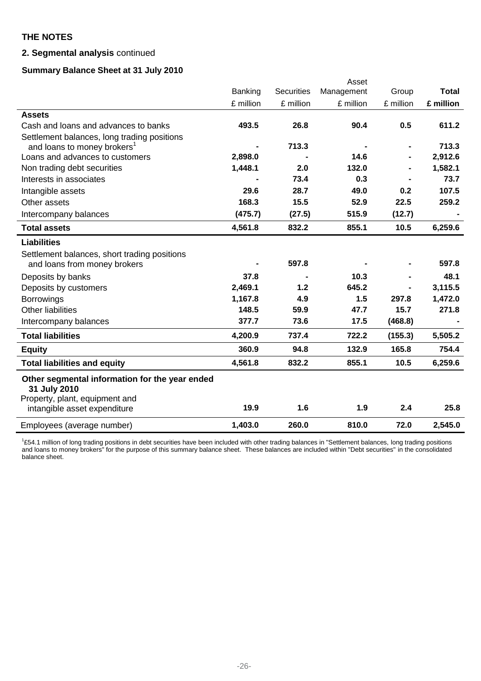# **2. Segmental analysis** continued

# **Summary Balance Sheet at 31 July 2010**

|                                                                |           |                   | Asset      |           |              |
|----------------------------------------------------------------|-----------|-------------------|------------|-----------|--------------|
|                                                                | Banking   | <b>Securities</b> | Management | Group     | <b>Total</b> |
|                                                                | £ million | £ million         | £ million  | £ million | £ million    |
| <b>Assets</b>                                                  |           |                   |            |           |              |
| Cash and loans and advances to banks                           | 493.5     | 26.8              | 90.4       | 0.5       | 611.2        |
| Settlement balances, long trading positions                    |           |                   |            |           |              |
| and loans to money brokers <sup>1</sup>                        |           | 713.3             |            |           | 713.3        |
| Loans and advances to customers                                | 2,898.0   |                   | 14.6       |           | 2,912.6      |
| Non trading debt securities                                    | 1,448.1   | 2.0               | 132.0      |           | 1,582.1      |
| Interests in associates                                        |           | 73.4              | 0.3        |           | 73.7         |
| Intangible assets                                              | 29.6      | 28.7              | 49.0       | 0.2       | 107.5        |
| Other assets                                                   | 168.3     | 15.5              | 52.9       | 22.5      | 259.2        |
| Intercompany balances                                          | (475.7)   | (27.5)            | 515.9      | (12.7)    |              |
| <b>Total assets</b>                                            | 4,561.8   | 832.2             | 855.1      | 10.5      | 6,259.6      |
| <b>Liabilities</b>                                             |           |                   |            |           |              |
| Settlement balances, short trading positions                   |           |                   |            |           |              |
| and loans from money brokers                                   |           | 597.8             |            |           | 597.8        |
| Deposits by banks                                              | 37.8      |                   | 10.3       |           | 48.1         |
| Deposits by customers                                          | 2,469.1   | 1.2               | 645.2      |           | 3,115.5      |
| <b>Borrowings</b>                                              | 1,167.8   | 4.9               | 1.5        | 297.8     | 1,472.0      |
| <b>Other liabilities</b>                                       | 148.5     | 59.9              | 47.7       | 15.7      | 271.8        |
| Intercompany balances                                          | 377.7     | 73.6              | 17.5       | (468.8)   |              |
| <b>Total liabilities</b>                                       | 4,200.9   | 737.4             | 722.2      | (155.3)   | 5,505.2      |
| <b>Equity</b>                                                  | 360.9     | 94.8              | 132.9      | 165.8     | 754.4        |
| <b>Total liabilities and equity</b>                            | 4,561.8   | 832.2             | 855.1      | 10.5      | 6,259.6      |
| Other segmental information for the year ended<br>31 July 2010 |           |                   |            |           |              |
| Property, plant, equipment and<br>intangible asset expenditure | 19.9      | 1.6               | 1.9        | 2.4       | 25.8         |
| Employees (average number)                                     | 1,403.0   | 260.0             | 810.0      | 72.0      | 2,545.0      |

<sup>1</sup>£54.1 million of long trading positions in debt securities have been included with other trading balances in "Settlement balances, long trading positions and loans to money brokers" for the purpose of this summary balance sheet. These balances are included within "Debt securities" in the consolidated balance sheet.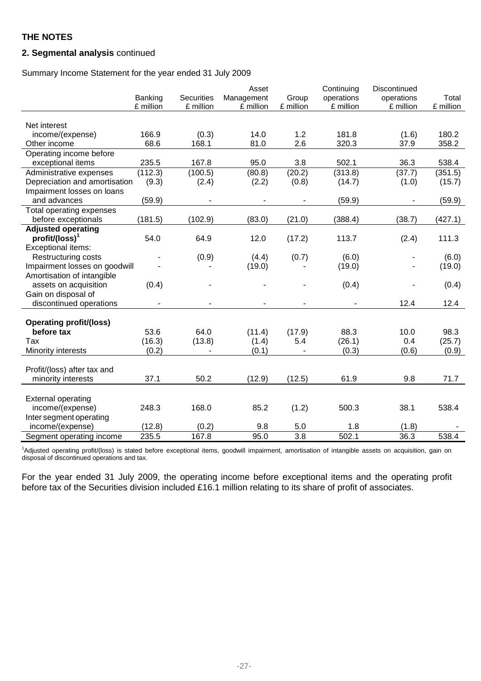# **2. Segmental analysis** continued

Summary Income Statement for the year ended 31 July 2009

|                                | Banking   | <b>Securities</b> | Asset<br>Management | Group            | Continuing<br>operations | Discontinued<br>operations | Total     |
|--------------------------------|-----------|-------------------|---------------------|------------------|--------------------------|----------------------------|-----------|
|                                | £ million | £ million         | £ million           | £ million        | £ million                | £ million                  | £ million |
|                                |           |                   |                     |                  |                          |                            |           |
| Net interest                   |           |                   |                     |                  |                          |                            |           |
| income/(expense)               | 166.9     | (0.3)             | 14.0                | 1.2              | 181.8                    | (1.6)                      | 180.2     |
| Other income                   | 68.6      | 168.1             | 81.0                | 2.6              | 320.3                    | 37.9                       | 358.2     |
| Operating income before        |           |                   |                     |                  |                          |                            |           |
| exceptional items              | 235.5     | 167.8             | 95.0                | 3.8              | 502.1                    | 36.3                       | 538.4     |
| Administrative expenses        | (112.3)   | (100.5)           | (80.8)              | (20.2)           | (313.8)                  | (37.7)                     | (351.5)   |
| Depreciation and amortisation  | (9.3)     | (2.4)             | (2.2)               | (0.8)            | (14.7)                   | (1.0)                      | (15.7)    |
| Impairment losses on loans     |           |                   |                     |                  |                          |                            |           |
| and advances                   | (59.9)    |                   |                     |                  | (59.9)                   |                            | (59.9)    |
| Total operating expenses       |           |                   |                     |                  |                          |                            |           |
| before exceptionals            | (181.5)   | (102.9)           | (83.0)              | (21.0)           | (388.4)                  | (38.7)                     | (427.1)   |
| <b>Adjusted operating</b>      |           |                   |                     |                  |                          |                            |           |
| $profit/(loss)^1$              | 54.0      | 64.9              | 12.0                | (17.2)           | 113.7                    | (2.4)                      | 111.3     |
| Exceptional items:             |           |                   |                     |                  |                          |                            |           |
| Restructuring costs            |           | (0.9)             | (4.4)               | (0.7)            | (6.0)                    |                            | (6.0)     |
| Impairment losses on goodwill  |           |                   | (19.0)              |                  | (19.0)                   |                            | (19.0)    |
| Amortisation of intangible     |           |                   |                     |                  |                          |                            |           |
| assets on acquisition          | (0.4)     |                   |                     |                  | (0.4)                    |                            | (0.4)     |
| Gain on disposal of            |           |                   |                     |                  |                          |                            |           |
| discontinued operations        |           |                   |                     |                  |                          | 12.4                       | 12.4      |
|                                |           |                   |                     |                  |                          |                            |           |
| <b>Operating profit/(loss)</b> |           |                   |                     |                  |                          |                            |           |
| before tax                     | 53.6      | 64.0              | (11.4)              | (17.9)           | 88.3                     | 10.0                       | 98.3      |
| Tax                            | (16.3)    | (13.8)            | (1.4)               | 5.4              | (26.1)                   | 0.4                        | (25.7)    |
| Minority interests             | (0.2)     |                   | (0.1)               |                  | (0.3)                    | (0.6)                      | (0.9)     |
|                                |           |                   |                     |                  |                          |                            |           |
| Profit/(loss) after tax and    |           |                   |                     |                  |                          |                            |           |
| minority interests             | 37.1      | 50.2              | (12.9)              | (12.5)           | 61.9                     | 9.8                        | 71.7      |
|                                |           |                   |                     |                  |                          |                            |           |
| <b>External operating</b>      |           |                   |                     |                  |                          |                            |           |
| income/(expense)               | 248.3     | 168.0             | 85.2                | (1.2)            | 500.3                    | 38.1                       | 538.4     |
| Inter segment operating        |           |                   |                     |                  |                          |                            |           |
| income/(expense)               | (12.8)    | (0.2)             | 9.8                 | 5.0              | 1.8                      | (1.8)                      |           |
| Segment operating income       | 235.5     | 167.8             | 95.0                | $\overline{3.8}$ | 502.1                    | 36.3                       | 538.4     |

<sup>1</sup>Adjusted operating profit/(loss) is stated before exceptional items, goodwill impairment, amortisation of intangible assets on acquisition, gain on disposal of discontinued operations and tax.

For the year ended 31 July 2009, the operating income before exceptional items and the operating profit before tax of the Securities division included £16.1 million relating to its share of profit of associates.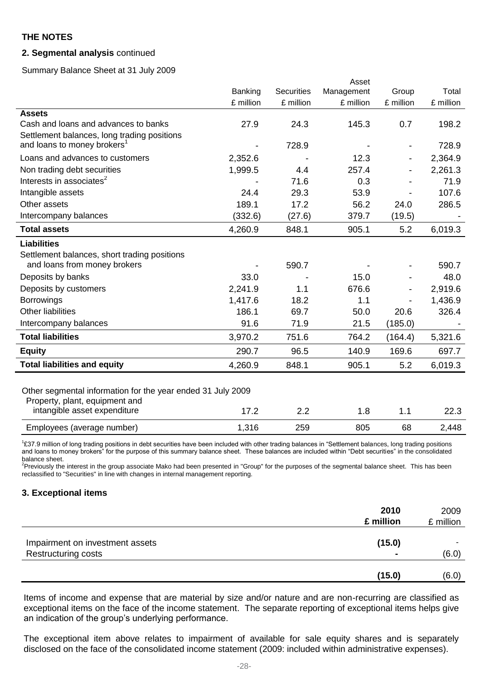## **2. Segmental analysis** continued

Summary Balance Sheet at 31 July 2009

|                                                             |           |                   | Asset      |           |           |
|-------------------------------------------------------------|-----------|-------------------|------------|-----------|-----------|
|                                                             | Banking   | <b>Securities</b> | Management | Group     | Total     |
|                                                             | £ million | £ million         | £ million  | £ million | £ million |
| <b>Assets</b>                                               |           |                   |            |           |           |
| Cash and loans and advances to banks                        | 27.9      | 24.3              | 145.3      | 0.7       | 198.2     |
| Settlement balances, long trading positions                 |           |                   |            |           |           |
| and loans to money brokers <sup>1</sup>                     |           | 728.9             |            |           | 728.9     |
| Loans and advances to customers                             | 2,352.6   |                   | 12.3       |           | 2,364.9   |
| Non trading debt securities                                 | 1,999.5   | 4.4               | 257.4      |           | 2,261.3   |
| Interests in associates <sup>2</sup>                        |           | 71.6              | 0.3        |           | 71.9      |
| Intangible assets                                           | 24.4      | 29.3              | 53.9       |           | 107.6     |
| Other assets                                                | 189.1     | 17.2              | 56.2       | 24.0      | 286.5     |
| Intercompany balances                                       | (332.6)   | (27.6)            | 379.7      | (19.5)    |           |
| <b>Total assets</b>                                         | 4,260.9   | 848.1             | 905.1      | 5.2       | 6,019.3   |
| <b>Liabilities</b>                                          |           |                   |            |           |           |
| Settlement balances, short trading positions                |           |                   |            |           |           |
| and loans from money brokers                                |           | 590.7             |            |           | 590.7     |
| Deposits by banks                                           | 33.0      |                   | 15.0       |           | 48.0      |
| Deposits by customers                                       | 2,241.9   | 1.1               | 676.6      |           | 2,919.6   |
| <b>Borrowings</b>                                           | 1,417.6   | 18.2              | 1.1        |           | 1,436.9   |
| <b>Other liabilities</b>                                    | 186.1     | 69.7              | 50.0       | 20.6      | 326.4     |
| Intercompany balances                                       | 91.6      | 71.9              | 21.5       | (185.0)   |           |
| <b>Total liabilities</b>                                    | 3,970.2   | 751.6             | 764.2      | (164.4)   | 5,321.6   |
| <b>Equity</b>                                               | 290.7     | 96.5              | 140.9      | 169.6     | 697.7     |
| <b>Total liabilities and equity</b>                         | 4,260.9   | 848.1             | 905.1      | 5.2       | 6,019.3   |
|                                                             |           |                   |            |           |           |
| Other segmental information for the year ended 31 July 2009 |           |                   |            |           |           |
| Property, plant, equipment and                              |           |                   |            |           |           |
| intangible asset expenditure                                | 17.2      | 2.2               | 1.8        | 1.1       | 22.3      |
| Employees (average number)                                  | 1,316     | 259               | 805        | 68        | 2,448     |

<sup>1</sup>£37.9 million of long trading positions in debt securities have been included with other trading balances in "Settlement balances, long trading positions and loans to money brokers" for the purpose of this summary balance sheet. These balances are included within "Debt securities" in the consolidated balance sheet.<br><sup>2</sup>Previously the interest in the group associate Mako had been presented in "Group" for the purposes of the segmental balance sheet. This has been

reclassified to "Securities" in line with changes in internal management reporting.

#### **3. Exceptional items**

|                                                               | 2010<br>£ million        | 2009<br>£ million |
|---------------------------------------------------------------|--------------------------|-------------------|
| Impairment on investment assets<br><b>Restructuring costs</b> | (15.0)<br>$\blacksquare$ | ۰<br>(6.0)        |
|                                                               | (15.0)                   | (6.0)             |

Items of income and expense that are material by size and/or nature and are non-recurring are classified as exceptional items on the face of the income statement. The separate reporting of exceptional items helps give an indication of the group's underlying performance.

The exceptional item above relates to impairment of available for sale equity shares and is separately disclosed on the face of the consolidated income statement (2009: included within administrative expenses).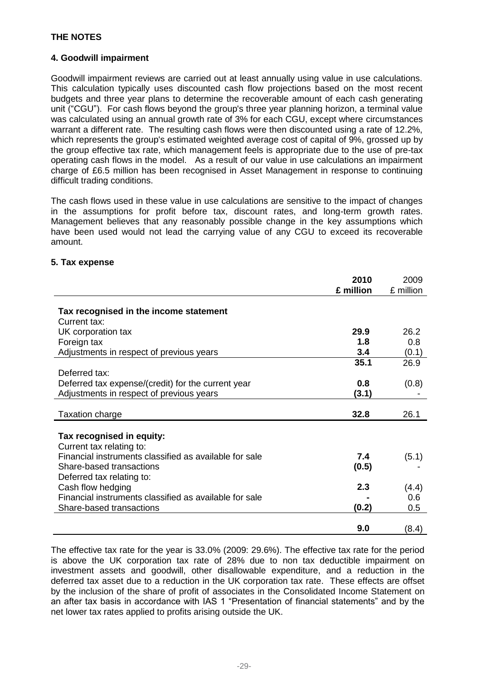# **4. Goodwill impairment**

Goodwill impairment reviews are carried out at least annually using value in use calculations. This calculation typically uses discounted cash flow projections based on the most recent budgets and three year plans to determine the recoverable amount of each cash generating unit ("CGU"). For cash flows beyond the group's three year planning horizon, a terminal value was calculated using an annual growth rate of 3% for each CGU, except where circumstances warrant a different rate. The resulting cash flows were then discounted using a rate of 12.2%, which represents the group's estimated weighted average cost of capital of 9%, grossed up by the group effective tax rate, which management feels is appropriate due to the use of pre-tax operating cash flows in the model. As a result of our value in use calculations an impairment charge of £6.5 million has been recognised in Asset Management in response to continuing difficult trading conditions.

The cash flows used in these value in use calculations are sensitive to the impact of changes in the assumptions for profit before tax, discount rates, and long-term growth rates. Management believes that any reasonably possible change in the key assumptions which have been used would not lead the carrying value of any CGU to exceed its recoverable amount.

# **5. Tax expense**

|                                                        | 2010      | 2009      |
|--------------------------------------------------------|-----------|-----------|
|                                                        | £ million | £ million |
|                                                        |           |           |
| Tax recognised in the income statement                 |           |           |
| Current tax:                                           |           |           |
| UK corporation tax                                     | 29.9      | 26.2      |
| Foreign tax                                            | 1.8       | 0.8       |
| Adjustments in respect of previous years               | 3.4       | (0.1)     |
|                                                        | 35.1      | 26.9      |
| Deferred tax:                                          |           |           |
| Deferred tax expense/(credit) for the current year     | 0.8       | (0.8)     |
| Adjustments in respect of previous years               | (3.1)     |           |
|                                                        |           |           |
| <b>Taxation charge</b>                                 | 32.8      | 26.1      |
|                                                        |           |           |
| Tax recognised in equity:                              |           |           |
| Current tax relating to:                               |           |           |
| Financial instruments classified as available for sale | 7.4       | (5.1)     |
| Share-based transactions                               | (0.5)     |           |
| Deferred tax relating to:                              |           |           |
| Cash flow hedging                                      | 2.3       | (4.4)     |
| Financial instruments classified as available for sale |           | 0.6       |
| Share-based transactions                               | (0.2)     | 0.5       |
|                                                        |           |           |
|                                                        | 9.0       | (8.4)     |

The effective tax rate for the year is 33.0% (2009: 29.6%). The effective tax rate for the period is above the UK corporation tax rate of 28% due to non tax deductible impairment on investment assets and goodwill, other disallowable expenditure, and a reduction in the deferred tax asset due to a reduction in the UK corporation tax rate. These effects are offset by the inclusion of the share of profit of associates in the Consolidated Income Statement on an after tax basis in accordance with IAS 1 "Presentation of financial statements" and by the net lower tax rates applied to profits arising outside the UK.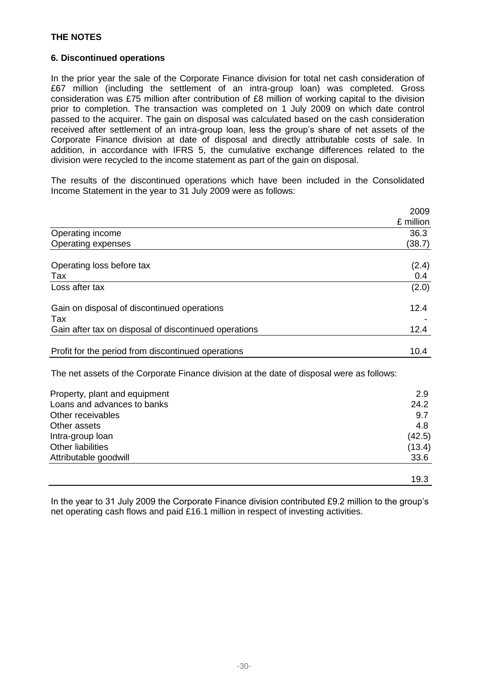# **6. Discontinued operations**

In the prior year the sale of the Corporate Finance division for total net cash consideration of £67 million (including the settlement of an intra-group loan) was completed. Gross consideration was £75 million after contribution of £8 million of working capital to the division prior to completion. The transaction was completed on 1 July 2009 on which date control passed to the acquirer. The gain on disposal was calculated based on the cash consideration received after settlement of an intra-group loan, less the group's share of net assets of the Corporate Finance division at date of disposal and directly attributable costs of sale. In addition, in accordance with IFRS 5, the cumulative exchange differences related to the division were recycled to the income statement as part of the gain on disposal.

The results of the discontinued operations which have been included in the Consolidated Income Statement in the year to 31 July 2009 were as follows:

|                                                       | 2009      |
|-------------------------------------------------------|-----------|
|                                                       | £ million |
| Operating income                                      | 36.3      |
| Operating expenses                                    | (38.7)    |
| Operating loss before tax                             | (2.4)     |
| Tax                                                   | 0.4       |
| Loss after tax                                        | (2.0)     |
| Gain on disposal of discontinued operations           | 12.4      |
| Tax                                                   |           |
| Gain after tax on disposal of discontinued operations | 12.4      |
| Profit for the period from discontinued operations    | 10.4      |

The net assets of the Corporate Finance division at the date of disposal were as follows:

| Property, plant and equipment | 2.9    |
|-------------------------------|--------|
| Loans and advances to banks   | 24.2   |
| Other receivables             | 9.7    |
| Other assets                  | 4.8    |
| Intra-group loan              | (42.5) |
| Other liabilities             | (13.4) |
| Attributable goodwill         | 33.6   |
|                               |        |
|                               | 19.3   |

In the year to 31 July 2009 the Corporate Finance division contributed £9.2 million to the group's net operating cash flows and paid £16.1 million in respect of investing activities.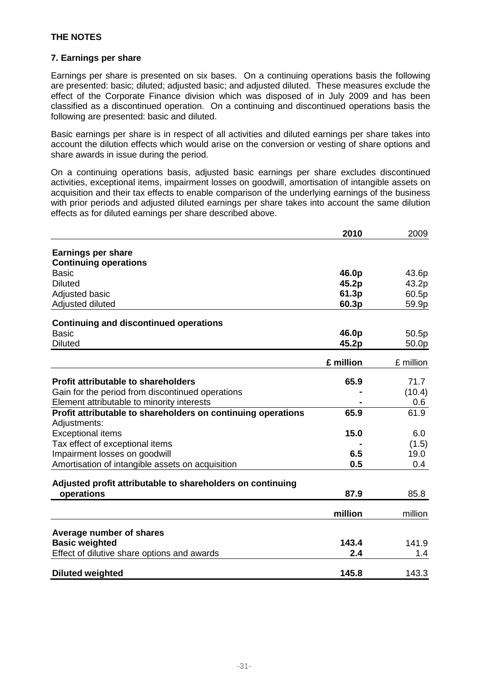# **7. Earnings per share**

Earnings per share is presented on six bases. On a continuing operations basis the following are presented: basic; diluted; adjusted basic; and adjusted diluted. These measures exclude the effect of the Corporate Finance division which was disposed of in July 2009 and has been classified as a discontinued operation. On a continuing and discontinued operations basis the following are presented: basic and diluted.

Basic earnings per share is in respect of all activities and diluted earnings per share takes into account the dilution effects which would arise on the conversion or vesting of share options and share awards in issue during the period.

On a continuing operations basis, adjusted basic earnings per share excludes discontinued activities, exceptional items, impairment losses on goodwill, amortisation of intangible assets on acquisition and their tax effects to enable comparison of the underlying earnings of the business with prior periods and adjusted diluted earnings per share takes into account the same dilution effects as for diluted earnings per share described above.

|                                                              | 2010      | 2009      |
|--------------------------------------------------------------|-----------|-----------|
| <b>Earnings per share</b>                                    |           |           |
| <b>Continuing operations</b>                                 |           |           |
| <b>Basic</b>                                                 | 46.0p     | 43.6p     |
| <b>Diluted</b>                                               | 45.2p     | 43.2p     |
| Adjusted basic                                               | 61.3p     | 60.5p     |
| Adjusted diluted                                             | 60.3p     | 59.9p     |
|                                                              |           |           |
| <b>Continuing and discontinued operations</b>                |           |           |
| <b>Basic</b>                                                 | 46.0p     | 50.5p     |
| <b>Diluted</b>                                               | 45.2p     | 50.0p     |
|                                                              | £ million | £ million |
|                                                              |           |           |
| <b>Profit attributable to shareholders</b>                   | 65.9      | 71.7      |
| Gain for the period from discontinued operations             |           | (10.4)    |
| Element attributable to minority interests                   |           | 0.6       |
| Profit attributable to shareholders on continuing operations | 65.9      | 61.9      |
| Adjustments:                                                 |           |           |
| <b>Exceptional items</b>                                     | 15.0      | 6.0       |
| Tax effect of exceptional items                              |           | (1.5)     |
| Impairment losses on goodwill                                | 6.5       | 19.0      |
| Amortisation of intangible assets on acquisition             | 0.5       | 0.4       |
| Adjusted profit attributable to shareholders on continuing   |           |           |
| operations                                                   | 87.9      | 85.8      |
|                                                              |           |           |
|                                                              | million   | million   |
| Average number of shares                                     |           |           |
| <b>Basic weighted</b>                                        | 143.4     | 141.9     |
| Effect of dilutive share options and awards                  | 2.4       | 1.4       |
|                                                              |           |           |
| <b>Diluted weighted</b>                                      | 145.8     | 143.3     |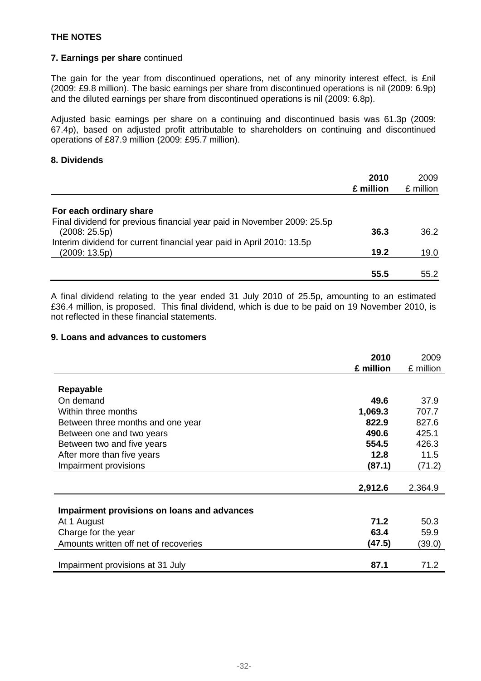# **7. Earnings per share** continued

The gain for the year from discontinued operations, net of any minority interest effect, is £nil (2009: £9.8 million). The basic earnings per share from discontinued operations is nil (2009: 6.9p) and the diluted earnings per share from discontinued operations is nil (2009: 6.8p).

Adjusted basic earnings per share on a continuing and discontinued basis was 61.3p (2009: 67.4p), based on adjusted profit attributable to shareholders on continuing and discontinued operations of £87.9 million (2009: £95.7 million).

# **8. Dividends**

|                                                                         | 2010      | 2009      |
|-------------------------------------------------------------------------|-----------|-----------|
|                                                                         | £ million | £ million |
| For each ordinary share                                                 |           |           |
| Final dividend for previous financial year paid in November 2009: 25.5p |           |           |
| (2008:25.5p)                                                            | 36.3      | 36.2      |
| Interim dividend for current financial year paid in April 2010: 13.5p   |           |           |
| (2009:13.5p)                                                            | 19.2      | 19.0      |
|                                                                         |           |           |
|                                                                         | 55.5      | 55.2      |

A final dividend relating to the year ended 31 July 2010 of 25.5p, amounting to an estimated £36.4 million, is proposed. This final dividend, which is due to be paid on 19 November 2010, is not reflected in these financial statements.

## **9. Loans and advances to customers**

|                                             | 2010      | 2009      |
|---------------------------------------------|-----------|-----------|
|                                             | £ million | £ million |
|                                             |           |           |
| Repayable                                   |           |           |
| On demand                                   | 49.6      | 37.9      |
| Within three months                         | 1,069.3   | 707.7     |
| Between three months and one year           | 822.9     | 827.6     |
| Between one and two years                   | 490.6     | 425.1     |
| Between two and five years                  | 554.5     | 426.3     |
| After more than five years                  | 12.8      | 11.5      |
| Impairment provisions                       | (87.1)    | (71.2)    |
|                                             |           |           |
|                                             | 2,912.6   | 2,364.9   |
|                                             |           |           |
| Impairment provisions on loans and advances |           |           |
| At 1 August                                 | 71.2      | 50.3      |
| Charge for the year                         | 63.4      | 59.9      |
| Amounts written off net of recoveries       | (47.5)    | (39.0)    |
|                                             |           |           |
| Impairment provisions at 31 July            | 87.1      | 71.2      |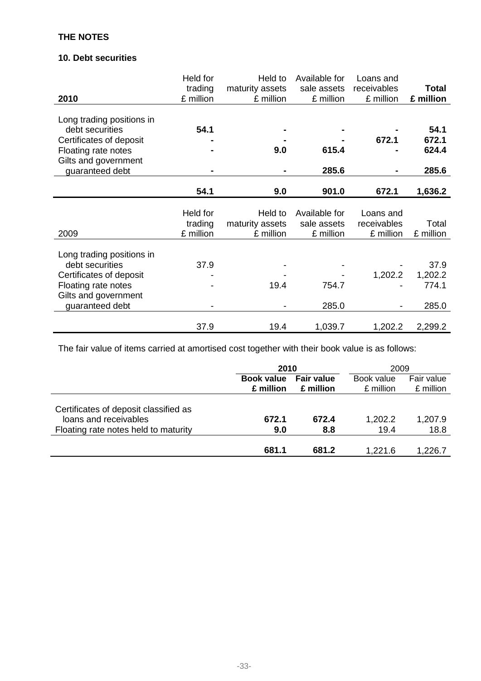# **10. Debt securities**

|                           | Held for  | Held to         | Available for | Loans and   |              |
|---------------------------|-----------|-----------------|---------------|-------------|--------------|
|                           | trading   | maturity assets | sale assets   | receivables | <b>Total</b> |
| 2010                      | £ million | £ million       | £ million     | £ million   | £ million    |
|                           |           |                 |               |             |              |
| Long trading positions in |           |                 |               |             |              |
| debt securities           | 54.1      |                 |               |             | 54.1         |
| Certificates of deposit   |           |                 |               | 672.1       | 672.1        |
| Floating rate notes       |           | 9.0             | 615.4         |             | 624.4        |
| Gilts and government      |           |                 |               |             |              |
| guaranteed debt           |           |                 | 285.6         |             | 285.6        |
|                           |           |                 |               |             |              |
|                           | 54.1      | 9.0             | 901.0         | 672.1       | 1,636.2      |
|                           |           |                 |               |             |              |
|                           | Held for  | Held to         | Available for | Loans and   |              |
|                           | trading   | maturity assets | sale assets   | receivables | Total        |
| 2009                      | £ million | £ million       | £ million     | £ million   | £ million    |
|                           |           |                 |               |             |              |
| Long trading positions in |           |                 |               |             |              |
| debt securities           | 37.9      |                 |               |             | 37.9         |
| Certificates of deposit   |           |                 |               | 1,202.2     | 1,202.2      |
| Floating rate notes       |           | 19.4            | 754.7         |             | 774.1        |
| Gilts and government      |           |                 |               |             |              |
| guaranteed debt           |           |                 | 285.0         |             | 285.0        |
|                           |           |                 |               |             |              |
|                           | 37.9      | 19.4            | 1,039.7       | 1,202.2     | 2,299.2      |

The fair value of items carried at amortised cost together with their book value is as follows:

|                                                                                                        | 2010              |                   | 2009            |                 |
|--------------------------------------------------------------------------------------------------------|-------------------|-------------------|-----------------|-----------------|
|                                                                                                        | <b>Book value</b> | <b>Fair value</b> |                 | Fair value      |
|                                                                                                        | £ million         | £ million         | £ million       | £ million       |
| Certificates of deposit classified as<br>loans and receivables<br>Floating rate notes held to maturity | 672.1<br>9.0      | 672.4<br>8.8      | 1,202.2<br>19.4 | 1,207.9<br>18.8 |
|                                                                                                        |                   |                   |                 |                 |
|                                                                                                        | 681.1             | 681.2             | 1,221.6         | 1,226.7         |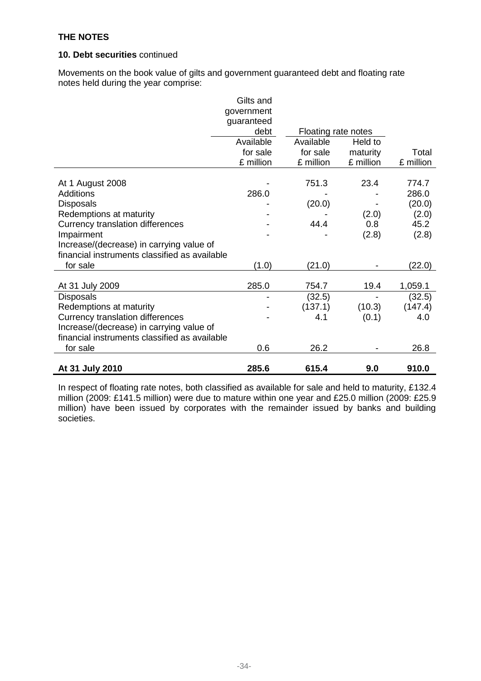# **10. Debt securities** continued

Movements on the book value of gilts and government guaranteed debt and floating rate notes held during the year comprise:

|                                               | Gilts and<br>government |                     |           |           |
|-----------------------------------------------|-------------------------|---------------------|-----------|-----------|
|                                               | guaranteed              |                     |           |           |
|                                               | debt                    | Floating rate notes |           |           |
|                                               | Available               | Available           | Held to   |           |
|                                               | for sale                | for sale            | maturity  | Total     |
|                                               | £ million               | £ million           | £ million | £ million |
| At 1 August 2008                              |                         | 751.3               | 23.4      | 774.7     |
| Additions                                     | 286.0                   |                     |           | 286.0     |
| <b>Disposals</b>                              |                         | (20.0)              |           | (20.0)    |
| Redemptions at maturity                       |                         |                     | (2.0)     | (2.0)     |
| Currency translation differences              |                         | 44.4                | 0.8       | 45.2      |
| Impairment                                    |                         |                     | (2.8)     | (2.8)     |
| Increase/(decrease) in carrying value of      |                         |                     |           |           |
| financial instruments classified as available |                         |                     |           |           |
| for sale                                      | (1.0)                   | (21.0)              |           | (22.0)    |
|                                               |                         |                     |           |           |
| At 31 July 2009                               | 285.0                   | 754.7               | 19.4      | 1,059.1   |
| <b>Disposals</b>                              |                         | (32.5)              |           | (32.5)    |
| Redemptions at maturity                       |                         | (137.1)             | (10.3)    | (147.4)   |
| <b>Currency translation differences</b>       |                         | 4.1                 | (0.1)     | 4.0       |
| Increase/(decrease) in carrying value of      |                         |                     |           |           |
| financial instruments classified as available |                         |                     |           |           |
| for sale                                      | 0.6                     | 26.2                |           | 26.8      |
| At 31 July 2010                               | 285.6                   | 615.4               | 9.0       | 910.0     |

In respect of floating rate notes, both classified as available for sale and held to maturity, £132.4 million (2009: £141.5 million) were due to mature within one year and £25.0 million (2009: £25.9 million) have been issued by corporates with the remainder issued by banks and building societies.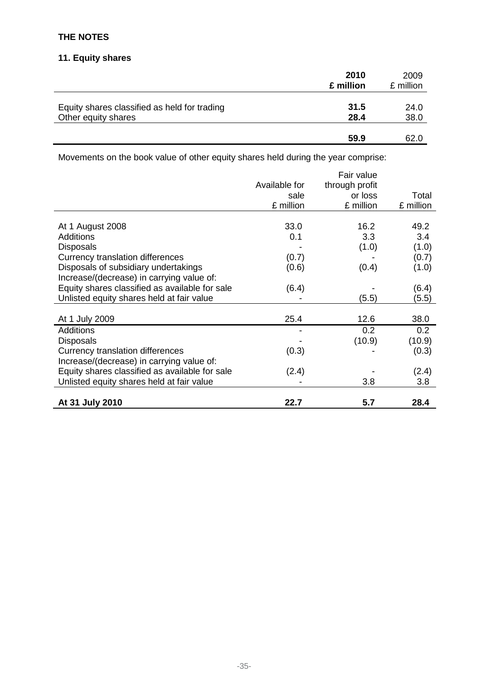# **11. Equity shares**

|                                              | 2010<br>£ million | 2009<br>£ million |
|----------------------------------------------|-------------------|-------------------|
| Equity shares classified as held for trading | 31.5              | 24.0              |
| Other equity shares                          | 28.4              | 38.0              |
|                                              | 59.9              | 62.0              |

Movements on the book value of other equity shares held during the year comprise:

|                                                |               | Fair value     |           |
|------------------------------------------------|---------------|----------------|-----------|
|                                                | Available for | through profit |           |
|                                                | sale          | or loss        | Total     |
|                                                | £ million     | £ million      | £ million |
|                                                |               |                |           |
| At 1 August 2008                               | 33.0          | 16.2           | 49.2      |
| <b>Additions</b>                               | 0.1           | 3.3            | 3.4       |
| <b>Disposals</b>                               |               | (1.0)          | (1.0)     |
| <b>Currency translation differences</b>        | (0.7)         |                | (0.7)     |
| Disposals of subsidiary undertakings           | (0.6)         | (0.4)          | (1.0)     |
| Increase/(decrease) in carrying value of:      |               |                |           |
| Equity shares classified as available for sale | (6.4)         |                | (6.4)     |
| Unlisted equity shares held at fair value      |               | (5.5)          | (5.5)     |
|                                                |               |                |           |
| At 1 July 2009                                 | 25.4          | 12.6           | 38.0      |
| <b>Additions</b>                               |               | 0.2            | 0.2       |
| <b>Disposals</b>                               |               | (10.9)         | (10.9)    |
| Currency translation differences               | (0.3)         |                | (0.3)     |
| Increase/(decrease) in carrying value of:      |               |                |           |
| Equity shares classified as available for sale | (2.4)         |                | (2.4)     |
| Unlisted equity shares held at fair value      |               | 3.8            | 3.8       |
|                                                |               |                |           |
| At 31 July 2010                                | 22.7          | 5.7            | 28.4      |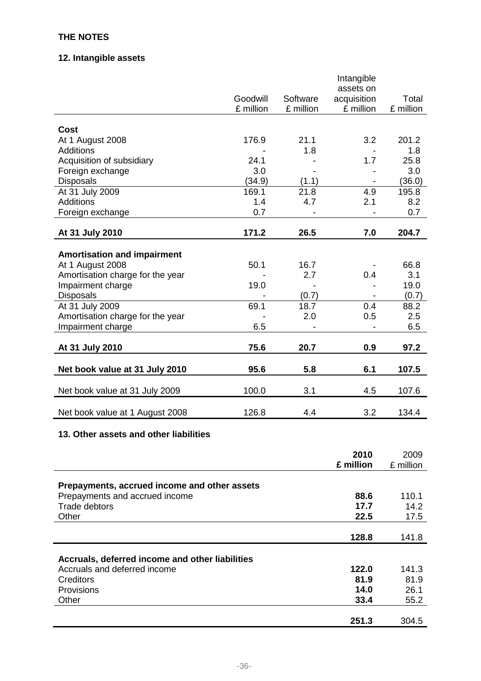# **12. Intangible assets**

|                                    |           |           | Intangible<br>assets on  |           |
|------------------------------------|-----------|-----------|--------------------------|-----------|
|                                    | Goodwill  | Software  | acquisition              | Total     |
|                                    | £ million | £ million | £ million                | £ million |
|                                    |           |           |                          |           |
| <b>Cost</b>                        |           |           |                          |           |
| At 1 August 2008                   | 176.9     | 21.1      | 3.2                      | 201.2     |
| <b>Additions</b>                   |           | 1.8       |                          | 1.8       |
| Acquisition of subsidiary          | 24.1      |           | 1.7                      | 25.8      |
| Foreign exchange                   | 3.0       |           |                          | 3.0       |
| <b>Disposals</b>                   | (34.9)    | (1.1)     | $\overline{\phantom{a}}$ | (36.0)    |
| At 31 July 2009                    | 169.1     | 21.8      | 4.9                      | 195.8     |
| <b>Additions</b>                   | 1.4       | 4.7       | 2.1                      | 8.2       |
| Foreign exchange                   | 0.7       |           |                          | 0.7       |
|                                    | 171.2     | 26.5      | 7.0                      | 204.7     |
| At 31 July 2010                    |           |           |                          |           |
| <b>Amortisation and impairment</b> |           |           |                          |           |
| At 1 August 2008                   | 50.1      | 16.7      |                          | 66.8      |
| Amortisation charge for the year   |           | 2.7       | 0.4                      | 3.1       |
| Impairment charge                  | 19.0      |           |                          | 19.0      |
| <b>Disposals</b>                   |           | (0.7)     |                          | (0.7)     |
| At 31 July 2009                    | 69.1      | 18.7      | 0.4                      | 88.2      |
| Amortisation charge for the year   |           | 2.0       | 0.5                      | 2.5       |
| Impairment charge                  | 6.5       |           |                          | 6.5       |
|                                    |           |           |                          |           |
| At 31 July 2010                    | 75.6      | 20.7      | 0.9                      | 97.2      |
| Net book value at 31 July 2010     | 95.6      | 5.8       | 6.1                      | 107.5     |
| Net book value at 31 July 2009     | 100.0     | 3.1       | 4.5                      | 107.6     |
| Net book value at 1 August 2008    | 126.8     | 4.4       | 3.2                      | 134.4     |

# **13. Other assets and other liabilities**

|                                                 | 2010      | 2009      |
|-------------------------------------------------|-----------|-----------|
|                                                 | £ million | £ million |
|                                                 |           |           |
| Prepayments, accrued income and other assets    |           |           |
| Prepayments and accrued income                  | 88.6      | 110.1     |
| Trade debtors                                   | 17.7      | 14.2      |
| Other                                           | 22.5      | 17.5      |
|                                                 |           |           |
|                                                 | 128.8     | 141.8     |
|                                                 |           |           |
| Accruals, deferred income and other liabilities |           |           |
| Accruals and deferred income                    | 122.0     | 141.3     |
| Creditors                                       | 81.9      | 81.9      |
| Provisions                                      | 14.0      | 26.1      |
| Other                                           | 33.4      | 55.2      |
|                                                 |           |           |
|                                                 | 251.3     | 304.5     |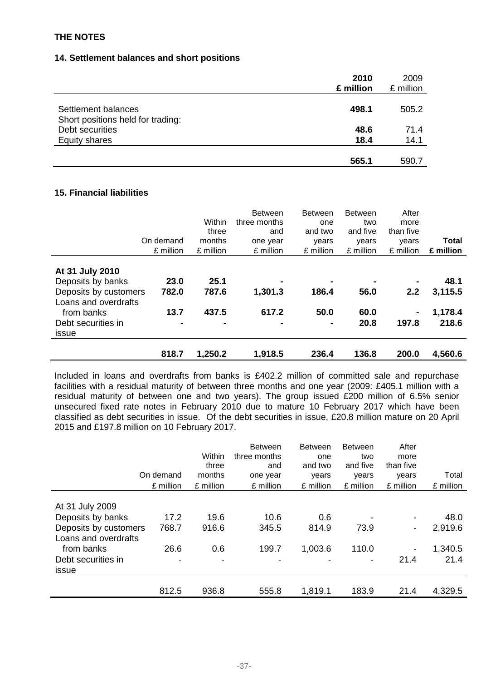# **14. Settlement balances and short positions**

|                                                          | 2010<br>£ million | 2009<br>£ million |
|----------------------------------------------------------|-------------------|-------------------|
| Settlement balances<br>Short positions held for trading: | 498.1             | 505.2             |
| Debt securities<br>Equity shares                         | 48.6<br>18.4      | 71.4<br>14.1      |
|                                                          | 565.1             | 590.7             |

# **15. Financial liabilities**

|                                                                                                                                    |                                         | Within                                   | <b>Between</b><br>three months                       | Between<br>one                                    | <b>Between</b><br>two | After<br>more     |                                     |
|------------------------------------------------------------------------------------------------------------------------------------|-----------------------------------------|------------------------------------------|------------------------------------------------------|---------------------------------------------------|-----------------------|-------------------|-------------------------------------|
|                                                                                                                                    |                                         | three                                    | and                                                  | and two                                           | and five              | than five         |                                     |
|                                                                                                                                    | On demand                               | months                                   | one year                                             | years                                             | years                 | years             | <b>Total</b>                        |
|                                                                                                                                    | £ million                               | £ million                                | £ million                                            | £ million                                         | £ million             | £ million         | £ million                           |
| At 31 July 2010<br>Deposits by banks<br>Deposits by customers<br>Loans and overdrafts<br>from banks<br>Debt securities in<br>issue | 23.0<br>782.0<br>13.7<br>$\blacksquare$ | 25.1<br>787.6<br>437.5<br>$\blacksquare$ | $\blacksquare$<br>1,301.3<br>617.2<br>$\blacksquare$ | $\blacksquare$<br>186.4<br>50.0<br>$\blacksquare$ | 56.0<br>60.0<br>20.8  | ۰<br>2.2<br>197.8 | 48.1<br>3,115.5<br>1,178.4<br>218.6 |
|                                                                                                                                    | 818.7                                   | 1,250.2                                  | 1,918.5                                              | 236.4                                             | 136.8                 | 200.0             | 4,560.6                             |

Included in loans and overdrafts from banks is £402.2 million of committed sale and repurchase facilities with a residual maturity of between three months and one year (2009: £405.1 million with a residual maturity of between one and two years). The group issued £200 million of 6.5% senior unsecured fixed rate notes in February 2010 due to mature 10 February 2017 which have been classified as debt securities in issue. Of the debt securities in issue, £20.8 million mature on 20 April 2015 and £197.8 million on 10 February 2017.

|                                               | On demand<br>£ million | Within<br>three<br>months<br>£ million | <b>Between</b><br>three months<br>and<br>one year<br>£ million | <b>Between</b><br>one<br>and two<br>years<br>£ million | <b>Between</b><br>two<br>and five<br>years<br>£ million | After<br>more<br>than five<br>years<br>£ million | Total<br>£ million |
|-----------------------------------------------|------------------------|----------------------------------------|----------------------------------------------------------------|--------------------------------------------------------|---------------------------------------------------------|--------------------------------------------------|--------------------|
|                                               |                        |                                        |                                                                |                                                        |                                                         |                                                  |                    |
| At 31 July 2009                               |                        |                                        |                                                                |                                                        |                                                         |                                                  |                    |
| Deposits by banks                             | 17.2                   | 19.6                                   | 10.6                                                           | 0.6                                                    |                                                         | $\overline{\phantom{a}}$                         | 48.0               |
| Deposits by customers<br>Loans and overdrafts | 768.7                  | 916.6                                  | 345.5                                                          | 814.9                                                  | 73.9                                                    | -                                                | 2,919.6            |
| from banks                                    | 26.6                   | 0.6                                    | 199.7                                                          | 1,003.6                                                | 110.0                                                   | $\overline{\phantom{0}}$                         | 1,340.5            |
| Debt securities in                            | -                      |                                        |                                                                |                                                        |                                                         | 21.4                                             | 21.4               |
| issue                                         |                        |                                        |                                                                |                                                        |                                                         |                                                  |                    |
|                                               | 812.5                  | 936.8                                  | 555.8                                                          | 1,819.1                                                | 183.9                                                   | 21.4                                             | 4,329.5            |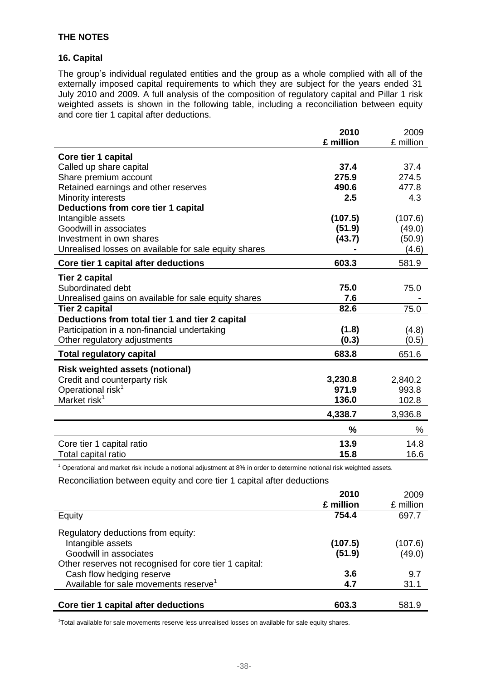# **16. Capital**

The group's individual regulated entities and the group as a whole complied with all of the externally imposed capital requirements to which they are subject for the years ended 31 July 2010 and 2009. A full analysis of the composition of regulatory capital and Pillar 1 risk weighted assets is shown in the following table, including a reconciliation between equity and core tier 1 capital after deductions.

|                                                       | 2010      | 2009      |
|-------------------------------------------------------|-----------|-----------|
|                                                       | £ million | £ million |
| Core tier 1 capital                                   |           |           |
| Called up share capital                               | 37.4      | 37.4      |
| Share premium account                                 | 275.9     | 274.5     |
| Retained earnings and other reserves                  | 490.6     | 477.8     |
| Minority interests                                    | 2.5       | 4.3       |
| Deductions from core tier 1 capital                   |           |           |
| Intangible assets                                     | (107.5)   | (107.6)   |
| Goodwill in associates                                | (51.9)    | (49.0)    |
| Investment in own shares                              | (43.7)    | (50.9)    |
| Unrealised losses on available for sale equity shares |           | (4.6)     |
| Core tier 1 capital after deductions                  | 603.3     | 581.9     |
| <b>Tier 2 capital</b>                                 |           |           |
| Subordinated debt                                     | 75.0      | 75.0      |
| Unrealised gains on available for sale equity shares  | 7.6       |           |
| <b>Tier 2 capital</b>                                 | 82.6      | 75.0      |
| Deductions from total tier 1 and tier 2 capital       |           |           |
| Participation in a non-financial undertaking          | (1.8)     | (4.8)     |
| Other regulatory adjustments                          | (0.3)     | (0.5)     |
| <b>Total regulatory capital</b>                       | 683.8     | 651.6     |
| <b>Risk weighted assets (notional)</b>                |           |           |
| Credit and counterparty risk                          | 3,230.8   | 2,840.2   |
| Operational risk <sup>1</sup>                         | 971.9     | 993.8     |
| Market risk <sup>1</sup>                              | 136.0     | 102.8     |
|                                                       | 4,338.7   | 3,936.8   |
|                                                       | %         | %         |
| Core tier 1 capital ratio                             | 13.9      | 14.8      |
| Total capital ratio                                   | 15.8      | 16.6      |

 $1$  Operational and market risk include a notional adjustment at 8% in order to determine notional risk weighted assets.

Reconciliation between equity and core tier 1 capital after deductions

|                                                        | 2010<br>£ million | 2009<br>£ million |
|--------------------------------------------------------|-------------------|-------------------|
| Equity                                                 | 754.4             | 697.7             |
| Regulatory deductions from equity:                     |                   |                   |
| Intangible assets                                      | (107.5)           | (107.6)           |
| Goodwill in associates                                 | (51.9)            | (49.0)            |
| Other reserves not recognised for core tier 1 capital: |                   |                   |
| Cash flow hedging reserve                              | 3.6               | 9.7               |
| Available for sale movements reserve <sup>1</sup>      | 4.7               | 31.1              |
| Core tier 1 capital after deductions                   | 603.3             | 581.9             |

<sup>1</sup>Total available for sale movements reserve less unrealised losses on available for sale equity shares.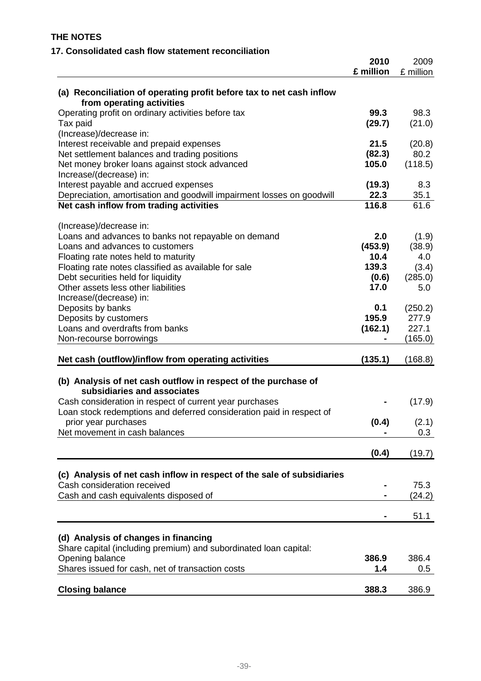| 17. Consolidated cash flow statement reconciliation                                               |                   |                   |
|---------------------------------------------------------------------------------------------------|-------------------|-------------------|
|                                                                                                   | 2010<br>£ million | 2009<br>£ million |
| (a) Reconciliation of operating profit before tax to net cash inflow<br>from operating activities |                   |                   |
| Operating profit on ordinary activities before tax<br>Tax paid                                    | 99.3<br>(29.7)    | 98.3<br>(21.0)    |
| (Increase)/decrease in:<br>Interest receivable and prepaid expenses                               | 21.5              | (20.8)            |
| Net settlement balances and trading positions                                                     | (82.3)            | 80.2              |
| Net money broker loans against stock advanced                                                     | 105.0             | (118.5)           |
| Increase/(decrease) in:                                                                           |                   |                   |
| Interest payable and accrued expenses                                                             | (19.3)            | 8.3               |
| Depreciation, amortisation and goodwill impairment losses on goodwill                             | 22.3              | 35.1              |
| Net cash inflow from trading activities                                                           | 116.8             | 61.6              |
| (Increase)/decrease in:                                                                           | 2.0               |                   |
| Loans and advances to banks not repayable on demand<br>Loans and advances to customers            | (453.9)           | (1.9)<br>(38.9)   |
| Floating rate notes held to maturity                                                              | 10.4              | 4.0               |
| Floating rate notes classified as available for sale                                              | 139.3             | (3.4)             |
| Debt securities held for liquidity                                                                | (0.6)             | (285.0)           |
| Other assets less other liabilities                                                               | 17.0              | 5.0               |
| Increase/(decrease) in:                                                                           |                   |                   |
| Deposits by banks                                                                                 | 0.1               | (250.2)           |
| Deposits by customers                                                                             | 195.9             | 277.9             |
| Loans and overdrafts from banks                                                                   | (162.1)           | 227.1             |
| Non-recourse borrowings                                                                           |                   | (165.0)           |
| Net cash (outflow)/inflow from operating activities                                               | (135.1)           | (168.8)           |
| (b) Analysis of net cash outflow in respect of the purchase of<br>subsidiaries and associates     |                   |                   |
| Cash consideration in respect of current year purchases                                           |                   | (17.9)            |
| Loan stock redemptions and deferred consideration paid in respect of                              |                   |                   |
| prior year purchases                                                                              | (0.4)             | (2.1)             |
| Net movement in cash balances                                                                     |                   | 0.3               |
|                                                                                                   | (0.4)             | (19.7)            |
| (c) Analysis of net cash inflow in respect of the sale of subsidiaries                            |                   |                   |
| Cash consideration received                                                                       |                   | 75.3              |
| Cash and cash equivalents disposed of                                                             |                   | (24.2)            |
|                                                                                                   |                   | 51.1              |
| (d) Analysis of changes in financing                                                              |                   |                   |
| Share capital (including premium) and subordinated loan capital:                                  |                   |                   |
| Opening balance                                                                                   | 386.9             | 386.4             |
| Shares issued for cash, net of transaction costs                                                  | 1.4               | $0.5\,$           |
| <b>Closing balance</b>                                                                            | 388.3             | 386.9             |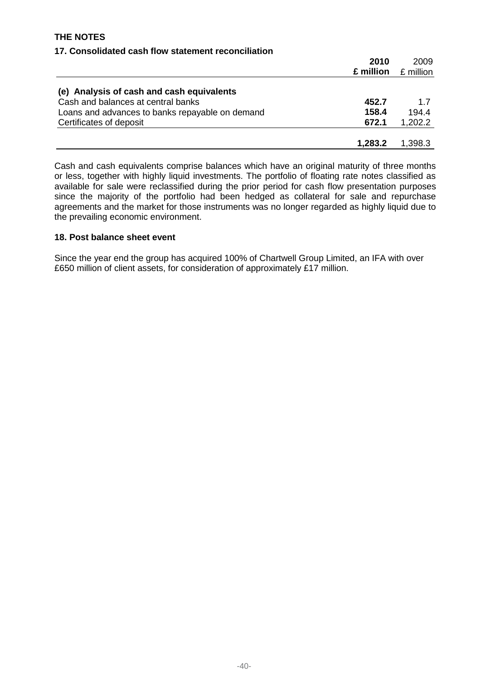# **17. Consolidated cash flow statement reconciliation**

|                                                 | 2010      | 2009      |
|-------------------------------------------------|-----------|-----------|
|                                                 | £ million | £ million |
| (e) Analysis of cash and cash equivalents       |           |           |
| Cash and balances at central banks              | 452.7     | 1.7       |
| Loans and advances to banks repayable on demand | 158.4     | 194.4     |
| Certificates of deposit                         | 672.1     | 1,202.2   |
|                                                 |           |           |
|                                                 | 1,283.2   | 1,398.3   |

Cash and cash equivalents comprise balances which have an original maturity of three months or less, together with highly liquid investments. The portfolio of floating rate notes classified as available for sale were reclassified during the prior period for cash flow presentation purposes since the majority of the portfolio had been hedged as collateral for sale and repurchase agreements and the market for those instruments was no longer regarded as highly liquid due to the prevailing economic environment.

## **18. Post balance sheet event**

Since the year end the group has acquired 100% of Chartwell Group Limited, an IFA with over £650 million of client assets, for consideration of approximately £17 million.